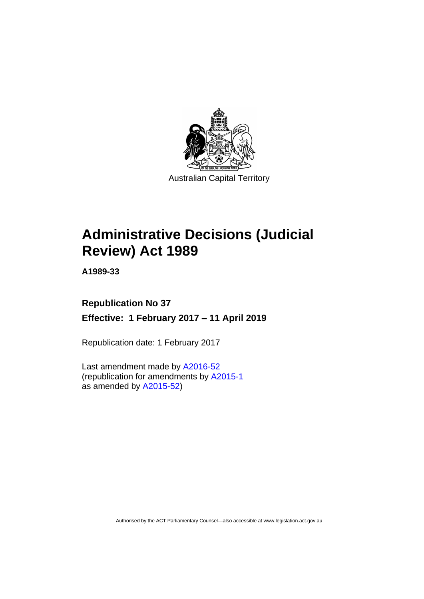

# **Administrative Decisions (Judicial Review) Act 1989**

**A1989-33**

## **Republication No 37 Effective: 1 February 2017 – 11 April 2019**

Republication date: 1 February 2017

Last amendment made by [A2016-52](http://www.legislation.act.gov.au/a/2016-52) (republication for amendments by [A2015-1](http://www.legislation.act.gov.au/a/2015-1) as amended by [A2015-52\)](http://www.legislation.act.gov.au/a/2015-52/default.asp)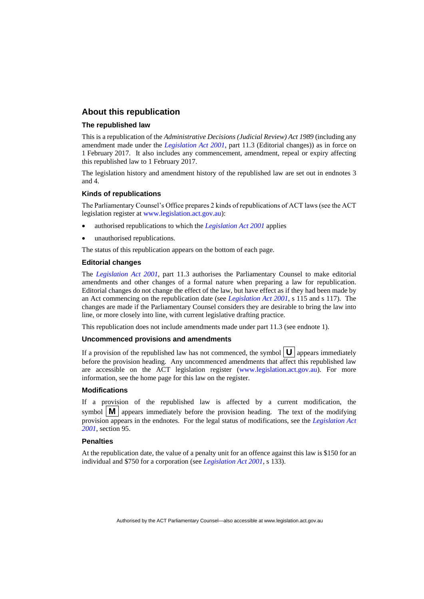## **About this republication**

#### **The republished law**

This is a republication of the *Administrative Decisions (Judicial Review) Act 1989* (including any amendment made under the *[Legislation Act 2001](http://www.legislation.act.gov.au/a/2001-14)*, part 11.3 (Editorial changes)) as in force on 1 February 2017*.* It also includes any commencement, amendment, repeal or expiry affecting this republished law to 1 February 2017.

The legislation history and amendment history of the republished law are set out in endnotes 3 and 4.

#### **Kinds of republications**

The Parliamentary Counsel's Office prepares 2 kinds of republications of ACT laws (see the ACT legislation register at [www.legislation.act.gov.au\)](http://www.legislation.act.gov.au/):

- authorised republications to which the *[Legislation Act 2001](http://www.legislation.act.gov.au/a/2001-14)* applies
- unauthorised republications.

The status of this republication appears on the bottom of each page.

#### **Editorial changes**

The *[Legislation Act 2001](http://www.legislation.act.gov.au/a/2001-14)*, part 11.3 authorises the Parliamentary Counsel to make editorial amendments and other changes of a formal nature when preparing a law for republication. Editorial changes do not change the effect of the law, but have effect as if they had been made by an Act commencing on the republication date (see *[Legislation Act 2001](http://www.legislation.act.gov.au/a/2001-14)*, s 115 and s 117). The changes are made if the Parliamentary Counsel considers they are desirable to bring the law into line, or more closely into line, with current legislative drafting practice.

This republication does not include amendments made under part 11.3 (see endnote 1).

#### **Uncommenced provisions and amendments**

If a provision of the republished law has not commenced, the symbol  $\mathbf{U}$  appears immediately before the provision heading. Any uncommenced amendments that affect this republished law are accessible on the ACT legislation register [\(www.legislation.act.gov.au\)](http://www.legislation.act.gov.au/). For more information, see the home page for this law on the register.

#### **Modifications**

If a provision of the republished law is affected by a current modification, the symbol  $\mathbf{M}$  appears immediately before the provision heading. The text of the modifying provision appears in the endnotes. For the legal status of modifications, see the *[Legislation Act](http://www.legislation.act.gov.au/a/2001-14)  [2001](http://www.legislation.act.gov.au/a/2001-14)*, section 95.

#### **Penalties**

At the republication date, the value of a penalty unit for an offence against this law is \$150 for an individual and \$750 for a corporation (see *[Legislation Act 2001](http://www.legislation.act.gov.au/a/2001-14)*, s 133).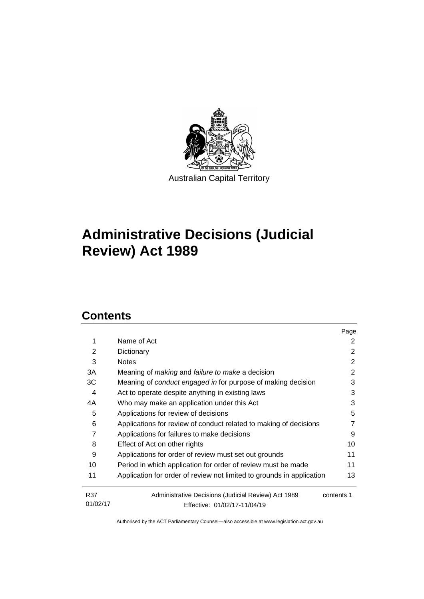

## **Administrative Decisions (Judicial Review) Act 1989**

## **Contents**

|                |                                                                       | Page       |
|----------------|-----------------------------------------------------------------------|------------|
| 1              | Name of Act                                                           | 2          |
| $\overline{2}$ | Dictionary                                                            | 2          |
| 3              | <b>Notes</b>                                                          | 2          |
| 3A             | Meaning of <i>making</i> and <i>failure to make</i> a decision        | 2          |
| ЗC             | Meaning of conduct engaged in for purpose of making decision          | 3          |
| 4              | Act to operate despite anything in existing laws                      | 3          |
| 4A             | Who may make an application under this Act                            | 3          |
| 5              | Applications for review of decisions                                  | 5          |
| 6              | Applications for review of conduct related to making of decisions     | 7          |
| 7              | Applications for failures to make decisions                           | 9          |
| 8              | Effect of Act on other rights                                         | 10         |
| 9              | Applications for order of review must set out grounds                 | 11         |
| 10             | Period in which application for order of review must be made          | 11         |
| 11             | Application for order of review not limited to grounds in application | 13         |
| R37            | Administrative Decisions (Judicial Review) Act 1989                   | contents 1 |
| 01/02/17       | Effective: 01/02/17-11/04/19                                          |            |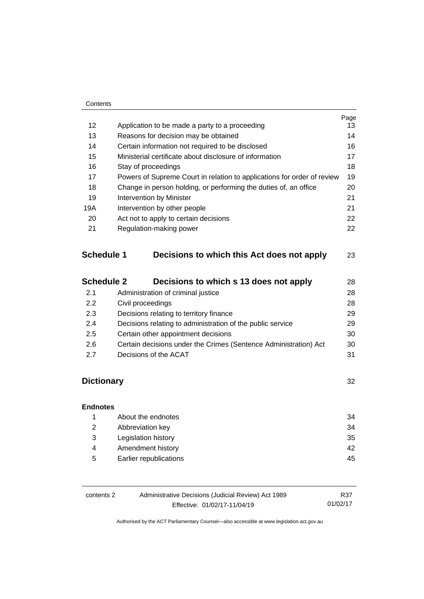|     |                                                                         | Page |
|-----|-------------------------------------------------------------------------|------|
| 12  | Application to be made a party to a proceeding                          | 13   |
| 13  | Reasons for decision may be obtained                                    | 14   |
| 14  | Certain information not required to be disclosed                        | 16   |
| 15  | Ministerial certificate about disclosure of information                 | 17   |
| 16  | Stay of proceedings                                                     | 18   |
| 17  | Powers of Supreme Court in relation to applications for order of review | 19   |
| 18  | Change in person holding, or performing the duties of, an office        | 20   |
| 19  | <b>Intervention by Minister</b>                                         | 21   |
| 19A | Intervention by other people                                            | 21   |
| 20  | Act not to apply to certain decisions                                   | 22   |
| 21  | Regulation-making power                                                 | 22   |
|     |                                                                         |      |
|     |                                                                         |      |

## **Schedule 1 [Decisions to which this Act does not apply](#page-26-0)** 23

| <b>Schedule 2</b> | Decisions to which s 13 does not apply                           | 28 |
|-------------------|------------------------------------------------------------------|----|
| 2.1               | Administration of criminal justice                               | 28 |
| 2.2               | Civil proceedings                                                | 28 |
| 2.3               | Decisions relating to territory finance                          | 29 |
| 2.4               | Decisions relating to administration of the public service       | 29 |
| 2.5               | Certain other appointment decisions                              | 30 |
| 2.6               | Certain decisions under the Crimes (Sentence Administration) Act | 30 |
| 27                | Decisions of the ACAT                                            | 31 |

## **[Dictionary](#page-35-0)** 32

## **[Endnotes](#page-37-0)** 1 [About the endnotes](#page-37-1) 34 2 [Abbreviation key](#page-37-2) 34 3 [Legislation history](#page-38-0) 35 4 [Amendment history](#page-45-0) 42 5 [Earlier republications](#page-48-0) 45

| contents 2 | Administrative Decisions (Judicial Review) Act 1989 |  |
|------------|-----------------------------------------------------|--|
|            | Effective: 01/02/17-11/04/19                        |  |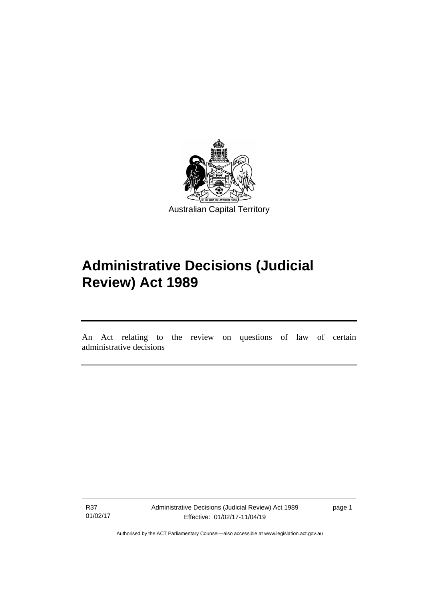

## **Administrative Decisions (Judicial Review) Act 1989**

An Act relating to the review on questions of law of certain administrative decisions

R37 01/02/17

I

Administrative Decisions (Judicial Review) Act 1989 Effective: 01/02/17-11/04/19

page 1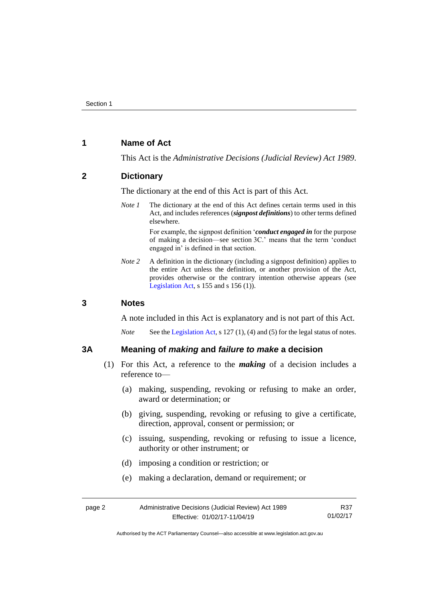## <span id="page-5-0"></span>**1 Name of Act**

This Act is the *Administrative Decisions (Judicial Review) Act 1989*.

## <span id="page-5-1"></span>**2 Dictionary**

The dictionary at the end of this Act is part of this Act.

*Note 1* The dictionary at the end of this Act defines certain terms used in this Act, and includes references (*signpost definitions*) to other terms defined elsewhere.

> For example, the signpost definition '*conduct engaged in* for the purpose of making a decision—see section 3C.' means that the term 'conduct engaged in' is defined in that section.

*Note 2* A definition in the dictionary (including a signpost definition) applies to the entire Act unless the definition, or another provision of the Act, provides otherwise or the contrary intention otherwise appears (see [Legislation Act,](http://www.legislation.act.gov.au/a/2001-14) s  $155$  and s  $156$  (1)).

## <span id="page-5-2"></span>**3 Notes**

A note included in this Act is explanatory and is not part of this Act.

*Note* See the [Legislation Act,](http://www.legislation.act.gov.au/a/2001-14) s 127 (1), (4) and (5) for the legal status of notes.

### <span id="page-5-3"></span>**3A Meaning of** *making* **and** *failure to make* **a decision**

- (1) For this Act, a reference to the *making* of a decision includes a reference to—
	- (a) making, suspending, revoking or refusing to make an order, award or determination; or
	- (b) giving, suspending, revoking or refusing to give a certificate, direction, approval, consent or permission; or
	- (c) issuing, suspending, revoking or refusing to issue a licence, authority or other instrument; or
	- (d) imposing a condition or restriction; or
	- (e) making a declaration, demand or requirement; or

| page 2 | Administrative Decisions (Judicial Review) Act 1989 | R37      |
|--------|-----------------------------------------------------|----------|
|        | Effective: 01/02/17-11/04/19                        | 01/02/17 |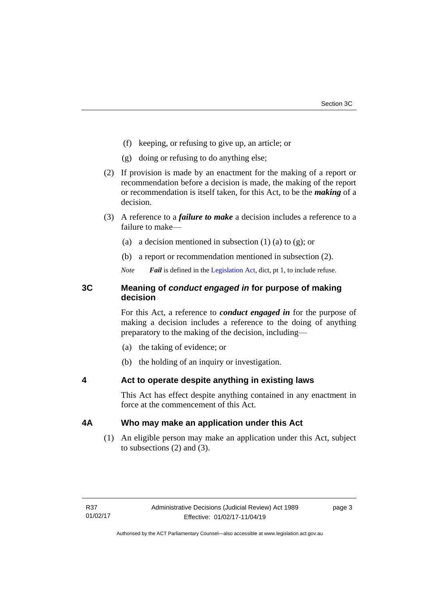- (f) keeping, or refusing to give up, an article; or
- (g) doing or refusing to do anything else;
- (2) If provision is made by an enactment for the making of a report or recommendation before a decision is made, the making of the report or recommendation is itself taken, for this Act, to be the *making* of a decision.
- (3) A reference to a *failure to make* a decision includes a reference to a failure to make—
	- (a) a decision mentioned in subsection  $(1)$  (a) to  $(g)$ ; or
	- (b) a report or recommendation mentioned in subsection (2).

*Note Fail* is defined in the [Legislation Act,](http://www.legislation.act.gov.au/a/2001-14) dict, pt 1, to include refuse.

## <span id="page-6-0"></span>**3C Meaning of** *conduct engaged in* **for purpose of making decision**

For this Act, a reference to *conduct engaged in* for the purpose of making a decision includes a reference to the doing of anything preparatory to the making of the decision, including—

- (a) the taking of evidence; or
- (b) the holding of an inquiry or investigation.

<span id="page-6-1"></span>**4 Act to operate despite anything in existing laws**

This Act has effect despite anything contained in any enactment in force at the commencement of this Act.

## <span id="page-6-2"></span>**4A Who may make an application under this Act**

(1) An eligible person may make an application under this Act, subject to subsections (2) and (3).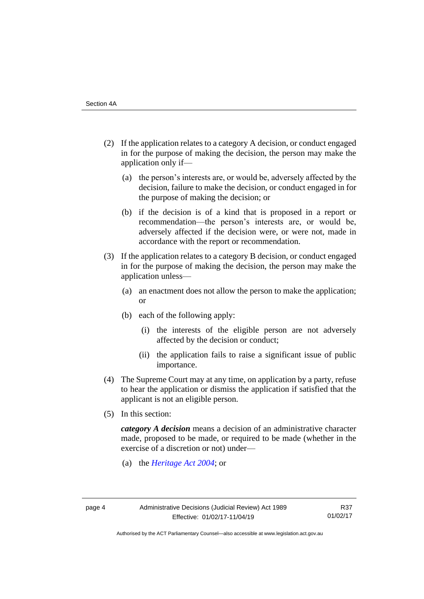- (2) If the application relates to a category A decision, or conduct engaged in for the purpose of making the decision, the person may make the application only if—
	- (a) the person's interests are, or would be, adversely affected by the decision, failure to make the decision, or conduct engaged in for the purpose of making the decision; or
	- (b) if the decision is of a kind that is proposed in a report or recommendation—the person's interests are, or would be, adversely affected if the decision were, or were not, made in accordance with the report or recommendation.
- (3) If the application relates to a category B decision, or conduct engaged in for the purpose of making the decision, the person may make the application unless—
	- (a) an enactment does not allow the person to make the application; or
	- (b) each of the following apply:
		- (i) the interests of the eligible person are not adversely affected by the decision or conduct;
		- (ii) the application fails to raise a significant issue of public importance.
- (4) The Supreme Court may at any time, on application by a party, refuse to hear the application or dismiss the application if satisfied that the applicant is not an eligible person.
- (5) In this section:

*category A decision* means a decision of an administrative character made, proposed to be made, or required to be made (whether in the exercise of a discretion or not) under—

(a) the *[Heritage Act 2004](http://www.legislation.act.gov.au/a/2004-57/default.asp)*; or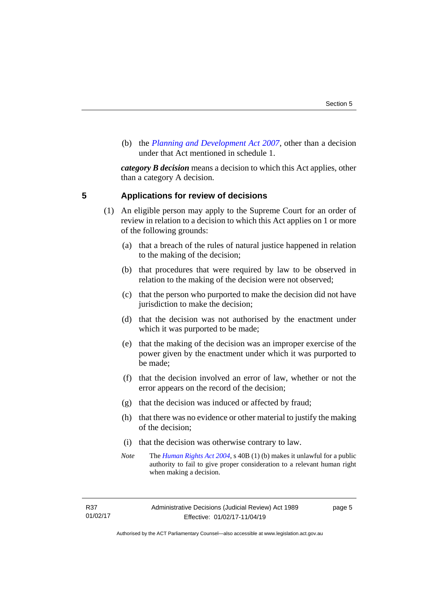(b) the *[Planning and Development Act 2007](http://www.legislation.act.gov.au/a/2007-24/default.asp)*, other than a decision under that Act mentioned in schedule 1.

*category B decision* means a decision to which this Act applies, other than a category A decision.

## <span id="page-8-0"></span>**5 Applications for review of decisions**

- (1) An eligible person may apply to the Supreme Court for an order of review in relation to a decision to which this Act applies on 1 or more of the following grounds:
	- (a) that a breach of the rules of natural justice happened in relation to the making of the decision;
	- (b) that procedures that were required by law to be observed in relation to the making of the decision were not observed;
	- (c) that the person who purported to make the decision did not have jurisdiction to make the decision;
	- (d) that the decision was not authorised by the enactment under which it was purported to be made;
	- (e) that the making of the decision was an improper exercise of the power given by the enactment under which it was purported to be made;
	- (f) that the decision involved an error of law, whether or not the error appears on the record of the decision;
	- (g) that the decision was induced or affected by fraud;
	- (h) that there was no evidence or other material to justify the making of the decision;
	- (i) that the decision was otherwise contrary to law.
	- *Note* The *[Human Rights Act 2004](http://www.legislation.act.gov.au/a/2004-5)*, s 40B (1) (b) makes it unlawful for a public authority to fail to give proper consideration to a relevant human right when making a decision.

page 5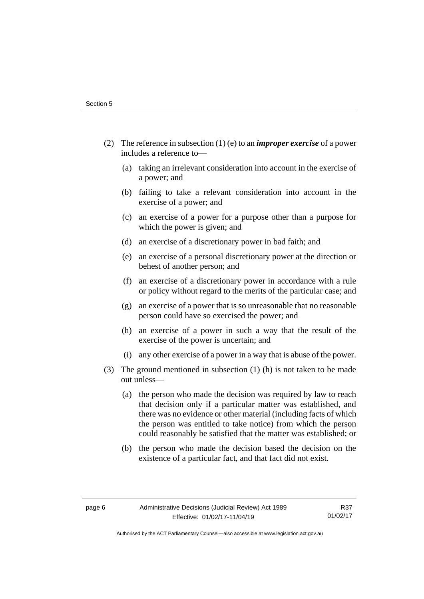- (2) The reference in subsection (1) (e) to an *improper exercise* of a power includes a reference to—
	- (a) taking an irrelevant consideration into account in the exercise of a power; and
	- (b) failing to take a relevant consideration into account in the exercise of a power; and
	- (c) an exercise of a power for a purpose other than a purpose for which the power is given; and
	- (d) an exercise of a discretionary power in bad faith; and
	- (e) an exercise of a personal discretionary power at the direction or behest of another person; and
	- (f) an exercise of a discretionary power in accordance with a rule or policy without regard to the merits of the particular case; and
	- (g) an exercise of a power that is so unreasonable that no reasonable person could have so exercised the power; and
	- (h) an exercise of a power in such a way that the result of the exercise of the power is uncertain; and
	- (i) any other exercise of a power in a way that is abuse of the power.
- (3) The ground mentioned in subsection (1) (h) is not taken to be made out unless—
	- (a) the person who made the decision was required by law to reach that decision only if a particular matter was established, and there was no evidence or other material (including facts of which the person was entitled to take notice) from which the person could reasonably be satisfied that the matter was established; or
	- (b) the person who made the decision based the decision on the existence of a particular fact, and that fact did not exist.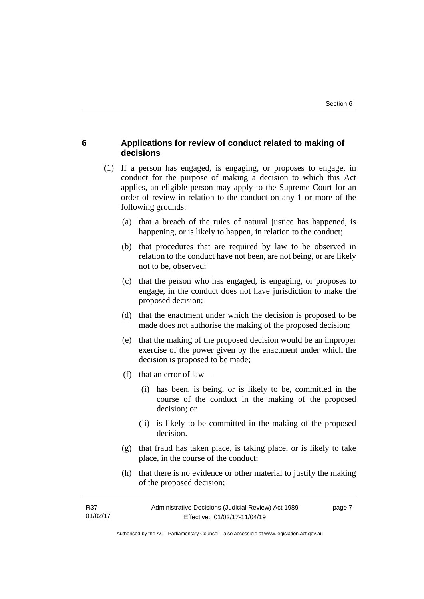## <span id="page-10-0"></span>**6 Applications for review of conduct related to making of decisions**

- (1) If a person has engaged, is engaging, or proposes to engage, in conduct for the purpose of making a decision to which this Act applies, an eligible person may apply to the Supreme Court for an order of review in relation to the conduct on any 1 or more of the following grounds:
	- (a) that a breach of the rules of natural justice has happened, is happening, or is likely to happen, in relation to the conduct;
	- (b) that procedures that are required by law to be observed in relation to the conduct have not been, are not being, or are likely not to be, observed;
	- (c) that the person who has engaged, is engaging, or proposes to engage, in the conduct does not have jurisdiction to make the proposed decision;
	- (d) that the enactment under which the decision is proposed to be made does not authorise the making of the proposed decision;
	- (e) that the making of the proposed decision would be an improper exercise of the power given by the enactment under which the decision is proposed to be made;
	- (f) that an error of law—
		- (i) has been, is being, or is likely to be, committed in the course of the conduct in the making of the proposed decision; or
		- (ii) is likely to be committed in the making of the proposed decision.
	- (g) that fraud has taken place, is taking place, or is likely to take place, in the course of the conduct;
	- (h) that there is no evidence or other material to justify the making of the proposed decision;

| R37      | Administrative Decisions (Judicial Review) Act 1989 | page 7 |
|----------|-----------------------------------------------------|--------|
| 01/02/17 | Effective: 01/02/17-11/04/19                        |        |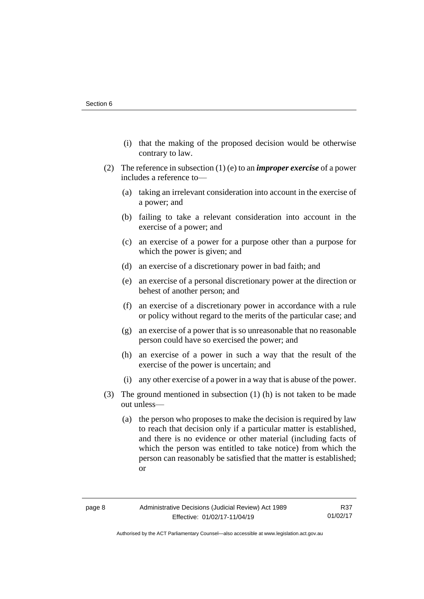- (i) that the making of the proposed decision would be otherwise contrary to law.
- (2) The reference in subsection (1) (e) to an *improper exercise* of a power includes a reference to—
	- (a) taking an irrelevant consideration into account in the exercise of a power; and
	- (b) failing to take a relevant consideration into account in the exercise of a power; and
	- (c) an exercise of a power for a purpose other than a purpose for which the power is given; and
	- (d) an exercise of a discretionary power in bad faith; and
	- (e) an exercise of a personal discretionary power at the direction or behest of another person; and
	- (f) an exercise of a discretionary power in accordance with a rule or policy without regard to the merits of the particular case; and
	- (g) an exercise of a power that is so unreasonable that no reasonable person could have so exercised the power; and
	- (h) an exercise of a power in such a way that the result of the exercise of the power is uncertain; and
	- (i) any other exercise of a power in a way that is abuse of the power.
- (3) The ground mentioned in subsection (1) (h) is not taken to be made out unless—
	- (a) the person who proposes to make the decision is required by law to reach that decision only if a particular matter is established, and there is no evidence or other material (including facts of which the person was entitled to take notice) from which the person can reasonably be satisfied that the matter is established; or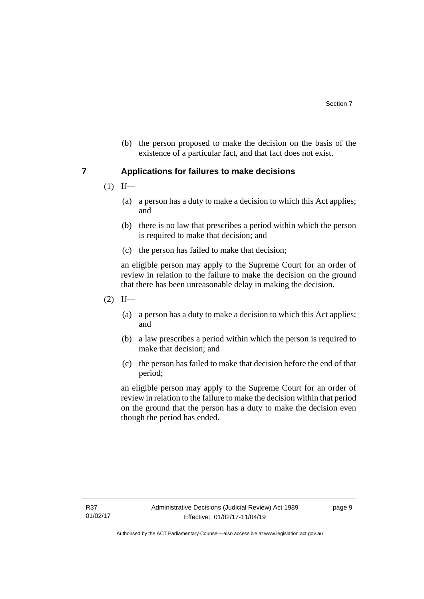(b) the person proposed to make the decision on the basis of the existence of a particular fact, and that fact does not exist.

## <span id="page-12-0"></span>**7 Applications for failures to make decisions**

- $(1)$  If—
	- (a) a person has a duty to make a decision to which this Act applies; and
	- (b) there is no law that prescribes a period within which the person is required to make that decision; and
	- (c) the person has failed to make that decision;

an eligible person may apply to the Supreme Court for an order of review in relation to the failure to make the decision on the ground that there has been unreasonable delay in making the decision.

- $(2)$  If—
	- (a) a person has a duty to make a decision to which this Act applies; and
	- (b) a law prescribes a period within which the person is required to make that decision; and
	- (c) the person has failed to make that decision before the end of that period;

an eligible person may apply to the Supreme Court for an order of review in relation to the failure to make the decision within that period on the ground that the person has a duty to make the decision even though the period has ended.

page 9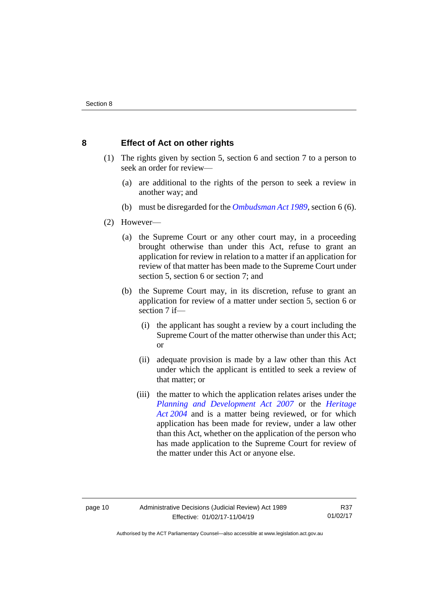## <span id="page-13-0"></span>**8 Effect of Act on other rights**

- (1) The rights given by section 5, section 6 and section 7 to a person to seek an order for review—
	- (a) are additional to the rights of the person to seek a review in another way; and
	- (b) must be disregarded for the *[Ombudsman Act 1989](http://www.legislation.act.gov.au/a/alt_a1989-45co)*, section 6 (6).
- (2) However—
	- (a) the Supreme Court or any other court may, in a proceeding brought otherwise than under this Act, refuse to grant an application for review in relation to a matter if an application for review of that matter has been made to the Supreme Court under section 5, section 6 or section 7; and
	- (b) the Supreme Court may, in its discretion, refuse to grant an application for review of a matter under section 5, section 6 or section 7 if—
		- (i) the applicant has sought a review by a court including the Supreme Court of the matter otherwise than under this Act; or
		- (ii) adequate provision is made by a law other than this Act under which the applicant is entitled to seek a review of that matter; or
		- (iii) the matter to which the application relates arises under the *[Planning and Development Act 2007](http://www.legislation.act.gov.au/a/2007-24)* or the *[Heritage](http://www.legislation.act.gov.au/a/2004-57)  Act [2004](http://www.legislation.act.gov.au/a/2004-57)* and is a matter being reviewed, or for which application has been made for review, under a law other than this Act, whether on the application of the person who has made application to the Supreme Court for review of the matter under this Act or anyone else.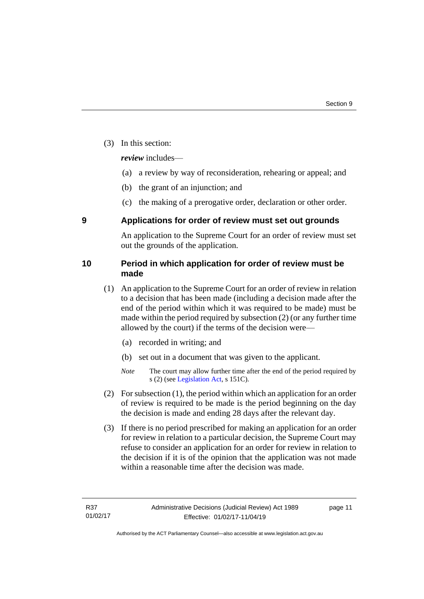(3) In this section:

*review* includes—

- (a) a review by way of reconsideration, rehearing or appeal; and
- (b) the grant of an injunction; and
- (c) the making of a prerogative order, declaration or other order.

## <span id="page-14-0"></span>**9 Applications for order of review must set out grounds**

An application to the Supreme Court for an order of review must set out the grounds of the application.

## <span id="page-14-1"></span>**10 Period in which application for order of review must be made**

- (1) An application to the Supreme Court for an order of review in relation to a decision that has been made (including a decision made after the end of the period within which it was required to be made) must be made within the period required by subsection (2) (or any further time allowed by the court) if the terms of the decision were—
	- (a) recorded in writing; and
	- (b) set out in a document that was given to the applicant.
	- *Note* The court may allow further time after the end of the period required by s (2) (see [Legislation Act,](http://www.legislation.act.gov.au/a/2001-14) s 151C).
- (2) For subsection (1), the period within which an application for an order of review is required to be made is the period beginning on the day the decision is made and ending 28 days after the relevant day.
- (3) If there is no period prescribed for making an application for an order for review in relation to a particular decision, the Supreme Court may refuse to consider an application for an order for review in relation to the decision if it is of the opinion that the application was not made within a reasonable time after the decision was made.

page 11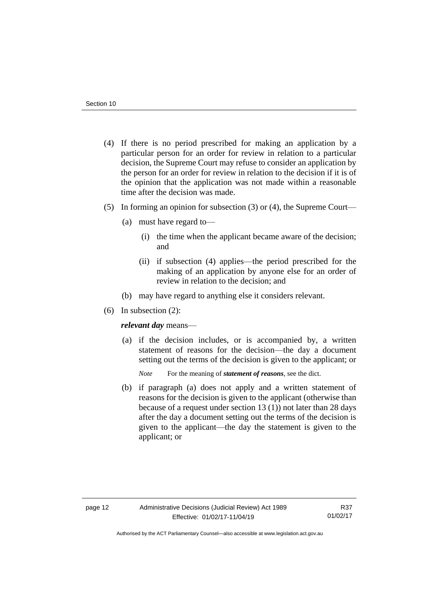- (4) If there is no period prescribed for making an application by a particular person for an order for review in relation to a particular decision, the Supreme Court may refuse to consider an application by the person for an order for review in relation to the decision if it is of the opinion that the application was not made within a reasonable time after the decision was made.
- (5) In forming an opinion for subsection (3) or (4), the Supreme Court—
	- (a) must have regard to—
		- (i) the time when the applicant became aware of the decision; and
		- (ii) if subsection (4) applies—the period prescribed for the making of an application by anyone else for an order of review in relation to the decision; and
	- (b) may have regard to anything else it considers relevant.
- (6) In subsection (2):

*relevant day* means—

- (a) if the decision includes, or is accompanied by, a written statement of reasons for the decision—the day a document setting out the terms of the decision is given to the applicant; or
	- *Note* For the meaning of *statement of reasons*, see the dict.
- (b) if paragraph (a) does not apply and a written statement of reasons for the decision is given to the applicant (otherwise than because of a request under section 13 (1)) not later than 28 days after the day a document setting out the terms of the decision is given to the applicant—the day the statement is given to the applicant; or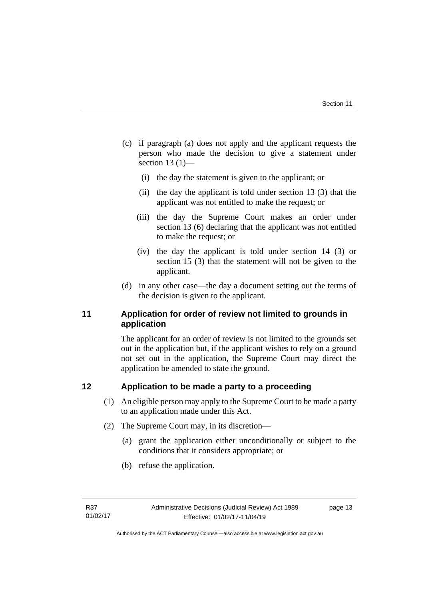- (c) if paragraph (a) does not apply and the applicant requests the person who made the decision to give a statement under section  $13(1)$ —
	- (i) the day the statement is given to the applicant; or
	- (ii) the day the applicant is told under section 13 (3) that the applicant was not entitled to make the request; or
	- (iii) the day the Supreme Court makes an order under section 13 (6) declaring that the applicant was not entitled to make the request; or
	- (iv) the day the applicant is told under section 14 (3) or section 15 (3) that the statement will not be given to the applicant.
- (d) in any other case—the day a document setting out the terms of the decision is given to the applicant.

## <span id="page-16-0"></span>**11 Application for order of review not limited to grounds in application**

The applicant for an order of review is not limited to the grounds set out in the application but, if the applicant wishes to rely on a ground not set out in the application, the Supreme Court may direct the application be amended to state the ground.

## <span id="page-16-1"></span>**12 Application to be made a party to a proceeding**

- (1) An eligible person may apply to the Supreme Court to be made a party to an application made under this Act.
- (2) The Supreme Court may, in its discretion—
	- (a) grant the application either unconditionally or subject to the conditions that it considers appropriate; or
	- (b) refuse the application.

page 13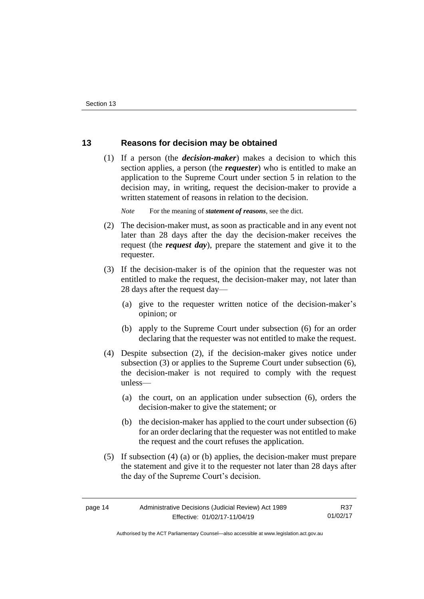## <span id="page-17-0"></span>**13 Reasons for decision may be obtained**

(1) If a person (the *decision-maker*) makes a decision to which this section applies, a person (the *requester*) who is entitled to make an application to the Supreme Court under section 5 in relation to the decision may, in writing, request the decision-maker to provide a written statement of reasons in relation to the decision.

*Note* For the meaning of *statement of reasons*, see the dict.

- (2) The decision-maker must, as soon as practicable and in any event not later than 28 days after the day the decision-maker receives the request (the *request day*), prepare the statement and give it to the requester.
- (3) If the decision-maker is of the opinion that the requester was not entitled to make the request, the decision-maker may, not later than 28 days after the request day—
	- (a) give to the requester written notice of the decision-maker's opinion; or
	- (b) apply to the Supreme Court under subsection (6) for an order declaring that the requester was not entitled to make the request.
- (4) Despite subsection (2), if the decision-maker gives notice under subsection (3) or applies to the Supreme Court under subsection (6), the decision-maker is not required to comply with the request unless—
	- (a) the court, on an application under subsection (6), orders the decision-maker to give the statement; or
	- (b) the decision-maker has applied to the court under subsection (6) for an order declaring that the requester was not entitled to make the request and the court refuses the application.
- (5) If subsection (4) (a) or (b) applies, the decision-maker must prepare the statement and give it to the requester not later than 28 days after the day of the Supreme Court's decision.

page 14 Administrative Decisions (Judicial Review) Act 1989 Effective: 01/02/17-11/04/19 R37 01/02/17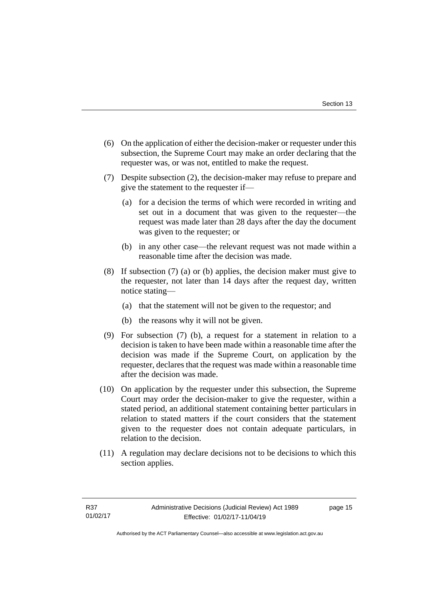- (6) On the application of either the decision-maker or requester under this subsection, the Supreme Court may make an order declaring that the requester was, or was not, entitled to make the request.
- (7) Despite subsection (2), the decision-maker may refuse to prepare and give the statement to the requester if—
	- (a) for a decision the terms of which were recorded in writing and set out in a document that was given to the requester—the request was made later than 28 days after the day the document was given to the requester; or
	- (b) in any other case—the relevant request was not made within a reasonable time after the decision was made.
- (8) If subsection (7) (a) or (b) applies, the decision maker must give to the requester, not later than 14 days after the request day, written notice stating—
	- (a) that the statement will not be given to the requestor; and
	- (b) the reasons why it will not be given.
- (9) For subsection (7) (b), a request for a statement in relation to a decision is taken to have been made within a reasonable time after the decision was made if the Supreme Court, on application by the requester, declares that the request was made within a reasonable time after the decision was made.
- (10) On application by the requester under this subsection, the Supreme Court may order the decision-maker to give the requester, within a stated period, an additional statement containing better particulars in relation to stated matters if the court considers that the statement given to the requester does not contain adequate particulars, in relation to the decision.
- (11) A regulation may declare decisions not to be decisions to which this section applies.

page 15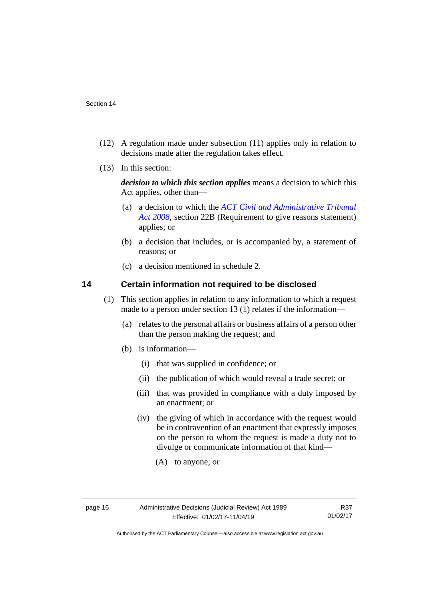- (12) A regulation made under subsection (11) applies only in relation to decisions made after the regulation takes effect.
- (13) In this section:

*decision to which this section applies* means a decision to which this Act applies, other than—

- (a) a decision to which the *[ACT Civil and Administrative Tribunal](http://www.legislation.act.gov.au/a/2008-35)  [Act 2008](http://www.legislation.act.gov.au/a/2008-35)*, section 22B (Requirement to give reasons statement) applies; or
- (b) a decision that includes, or is accompanied by, a statement of reasons; or
- (c) a decision mentioned in schedule 2.

## <span id="page-19-0"></span>**14 Certain information not required to be disclosed**

- (1) This section applies in relation to any information to which a request made to a person under section 13 (1) relates if the information—
	- (a) relates to the personal affairs or business affairs of a person other than the person making the request; and
	- (b) is information—
		- (i) that was supplied in confidence; or
		- (ii) the publication of which would reveal a trade secret; or
		- (iii) that was provided in compliance with a duty imposed by an enactment; or
		- (iv) the giving of which in accordance with the request would be in contravention of an enactment that expressly imposes on the person to whom the request is made a duty not to divulge or communicate information of that kind—
			- (A) to anyone; or

Authorised by the ACT Parliamentary Counsel—also accessible at www.legislation.act.gov.au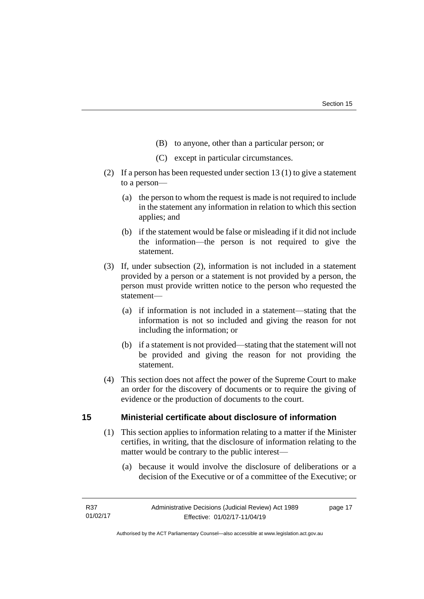- (B) to anyone, other than a particular person; or
- (C) except in particular circumstances.
- (2) If a person has been requested under section 13 (1) to give a statement to a person—
	- (a) the person to whom the request is made is not required to include in the statement any information in relation to which this section applies; and
	- (b) if the statement would be false or misleading if it did not include the information—the person is not required to give the statement.
- (3) If, under subsection (2), information is not included in a statement provided by a person or a statement is not provided by a person, the person must provide written notice to the person who requested the statement—
	- (a) if information is not included in a statement—stating that the information is not so included and giving the reason for not including the information; or
	- (b) if a statement is not provided—stating that the statement will not be provided and giving the reason for not providing the statement.
- (4) This section does not affect the power of the Supreme Court to make an order for the discovery of documents or to require the giving of evidence or the production of documents to the court.

## <span id="page-20-0"></span>**15 Ministerial certificate about disclosure of information**

- (1) This section applies to information relating to a matter if the Minister certifies, in writing, that the disclosure of information relating to the matter would be contrary to the public interest—
	- (a) because it would involve the disclosure of deliberations or a decision of the Executive or of a committee of the Executive; or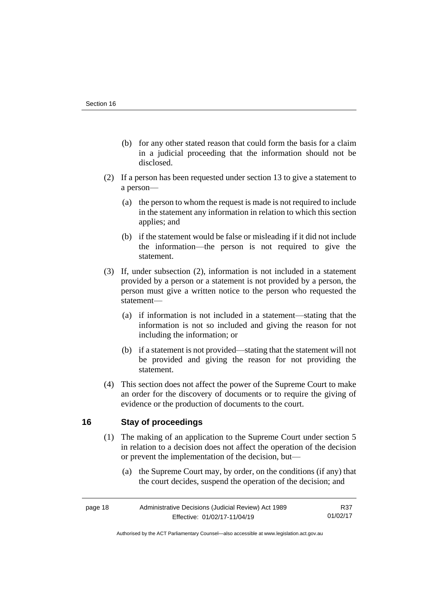- (b) for any other stated reason that could form the basis for a claim in a judicial proceeding that the information should not be disclosed.
- (2) If a person has been requested under section 13 to give a statement to a person—
	- (a) the person to whom the request is made is not required to include in the statement any information in relation to which this section applies; and
	- (b) if the statement would be false or misleading if it did not include the information—the person is not required to give the statement.
- (3) If, under subsection (2), information is not included in a statement provided by a person or a statement is not provided by a person, the person must give a written notice to the person who requested the statement—
	- (a) if information is not included in a statement—stating that the information is not so included and giving the reason for not including the information; or
	- (b) if a statement is not provided—stating that the statement will not be provided and giving the reason for not providing the statement.
- (4) This section does not affect the power of the Supreme Court to make an order for the discovery of documents or to require the giving of evidence or the production of documents to the court.

## <span id="page-21-0"></span>**16 Stay of proceedings**

- (1) The making of an application to the Supreme Court under section 5 in relation to a decision does not affect the operation of the decision or prevent the implementation of the decision, but—
	- (a) the Supreme Court may, by order, on the conditions (if any) that the court decides, suspend the operation of the decision; and

| page 18 | Administrative Decisions (Judicial Review) Act 1989 | R37      |
|---------|-----------------------------------------------------|----------|
|         | Effective: 01/02/17-11/04/19                        | 01/02/17 |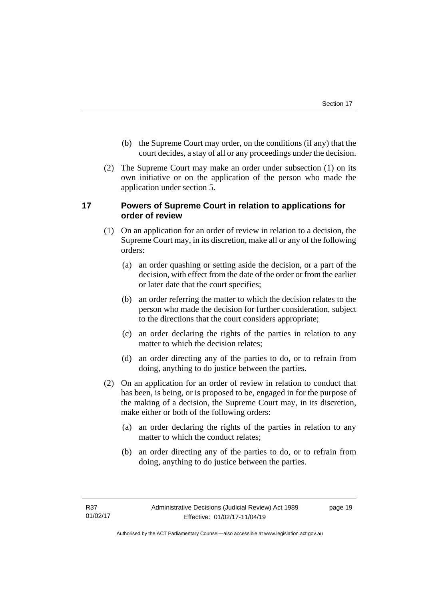- (b) the Supreme Court may order, on the conditions (if any) that the court decides, a stay of all or any proceedings under the decision.
- (2) The Supreme Court may make an order under subsection (1) on its own initiative or on the application of the person who made the application under section 5.

## <span id="page-22-0"></span>**17 Powers of Supreme Court in relation to applications for order of review**

- (1) On an application for an order of review in relation to a decision, the Supreme Court may, in its discretion, make all or any of the following orders:
	- (a) an order quashing or setting aside the decision, or a part of the decision, with effect from the date of the order or from the earlier or later date that the court specifies;
	- (b) an order referring the matter to which the decision relates to the person who made the decision for further consideration, subject to the directions that the court considers appropriate;
	- (c) an order declaring the rights of the parties in relation to any matter to which the decision relates;
	- (d) an order directing any of the parties to do, or to refrain from doing, anything to do justice between the parties.
- (2) On an application for an order of review in relation to conduct that has been, is being, or is proposed to be, engaged in for the purpose of the making of a decision, the Supreme Court may, in its discretion, make either or both of the following orders:
	- (a) an order declaring the rights of the parties in relation to any matter to which the conduct relates;
	- (b) an order directing any of the parties to do, or to refrain from doing, anything to do justice between the parties.

page 19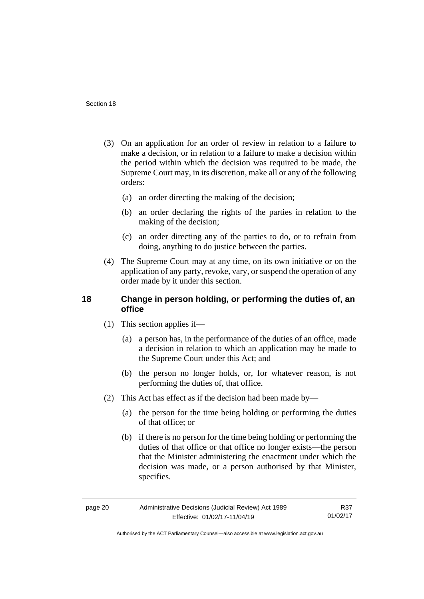- (3) On an application for an order of review in relation to a failure to make a decision, or in relation to a failure to make a decision within the period within which the decision was required to be made, the Supreme Court may, in its discretion, make all or any of the following orders:
	- (a) an order directing the making of the decision;
	- (b) an order declaring the rights of the parties in relation to the making of the decision;
	- (c) an order directing any of the parties to do, or to refrain from doing, anything to do justice between the parties.
- (4) The Supreme Court may at any time, on its own initiative or on the application of any party, revoke, vary, or suspend the operation of any order made by it under this section.

## <span id="page-23-0"></span>**18 Change in person holding, or performing the duties of, an office**

- (1) This section applies if—
	- (a) a person has, in the performance of the duties of an office, made a decision in relation to which an application may be made to the Supreme Court under this Act; and
	- (b) the person no longer holds, or, for whatever reason, is not performing the duties of, that office.
- (2) This Act has effect as if the decision had been made by—
	- (a) the person for the time being holding or performing the duties of that office; or
	- (b) if there is no person for the time being holding or performing the duties of that office or that office no longer exists—the person that the Minister administering the enactment under which the decision was made, or a person authorised by that Minister, specifies.

| page 20 | Administrative Decisions (Judicial Review) Act 1989 |  |
|---------|-----------------------------------------------------|--|
|         | Effective: 01/02/17-11/04/19                        |  |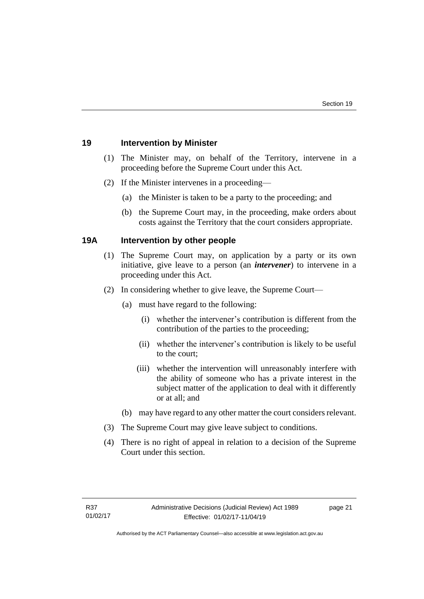## <span id="page-24-0"></span>**19 Intervention by Minister**

- (1) The Minister may, on behalf of the Territory, intervene in a proceeding before the Supreme Court under this Act.
- (2) If the Minister intervenes in a proceeding—
	- (a) the Minister is taken to be a party to the proceeding; and
	- (b) the Supreme Court may, in the proceeding, make orders about costs against the Territory that the court considers appropriate.

## <span id="page-24-1"></span>**19A Intervention by other people**

- (1) The Supreme Court may, on application by a party or its own initiative, give leave to a person (an *intervener*) to intervene in a proceeding under this Act.
- (2) In considering whether to give leave, the Supreme Court—
	- (a) must have regard to the following:
		- (i) whether the intervener's contribution is different from the contribution of the parties to the proceeding;
		- (ii) whether the intervener's contribution is likely to be useful to the court;
		- (iii) whether the intervention will unreasonably interfere with the ability of someone who has a private interest in the subject matter of the application to deal with it differently or at all; and
	- (b) may have regard to any other matter the court considers relevant.
- (3) The Supreme Court may give leave subject to conditions.
- (4) There is no right of appeal in relation to a decision of the Supreme Court under this section.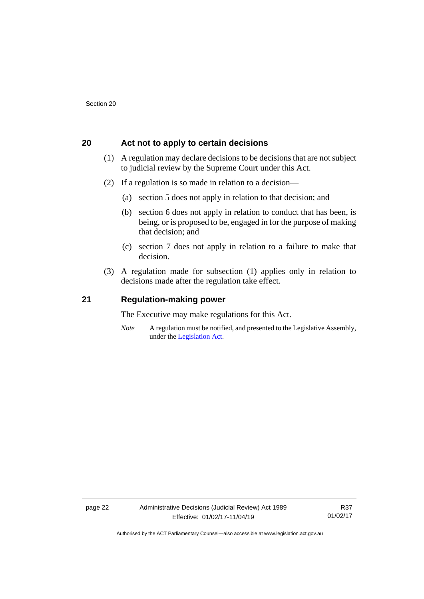## <span id="page-25-0"></span>**20 Act not to apply to certain decisions**

- (1) A regulation may declare decisions to be decisions that are not subject to judicial review by the Supreme Court under this Act.
- (2) If a regulation is so made in relation to a decision—
	- (a) section 5 does not apply in relation to that decision; and
	- (b) section 6 does not apply in relation to conduct that has been, is being, or is proposed to be, engaged in for the purpose of making that decision; and
	- (c) section 7 does not apply in relation to a failure to make that decision.
- (3) A regulation made for subsection (1) applies only in relation to decisions made after the regulation take effect.

### <span id="page-25-1"></span>**21 Regulation-making power**

The Executive may make regulations for this Act.

*Note* A regulation must be notified, and presented to the Legislative Assembly, under the [Legislation Act.](http://www.legislation.act.gov.au/a/2001-14)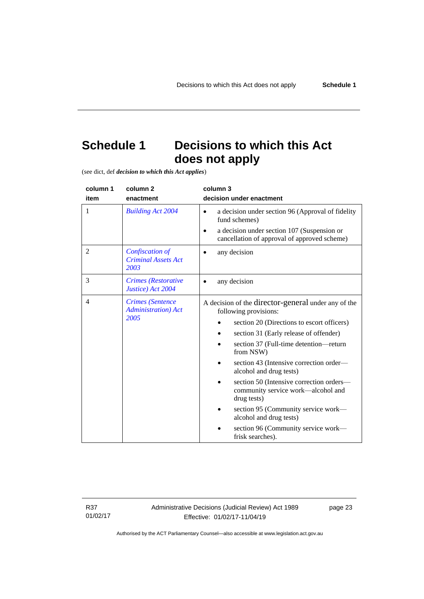## <span id="page-26-0"></span>**Schedule 1 Decisions to which this Act does not apply**

(see dict, def *decision to which this Act applies*)

| column 1 | column <sub>2</sub>                                            | column 3                                                                                                                                                                                                                                                                                                                                                                                                                                                                                                                        |
|----------|----------------------------------------------------------------|---------------------------------------------------------------------------------------------------------------------------------------------------------------------------------------------------------------------------------------------------------------------------------------------------------------------------------------------------------------------------------------------------------------------------------------------------------------------------------------------------------------------------------|
| item     | enactment                                                      | decision under enactment                                                                                                                                                                                                                                                                                                                                                                                                                                                                                                        |
| 1        | <b>Building Act 2004</b>                                       | a decision under section 96 (Approval of fidelity<br>$\bullet$<br>fund schemes)<br>a decision under section 107 (Suspension or<br>cancellation of approval of approved scheme)                                                                                                                                                                                                                                                                                                                                                  |
| 2        | <b>Confiscation of</b><br><b>Criminal Assets Act</b><br>2003   | any decision                                                                                                                                                                                                                                                                                                                                                                                                                                                                                                                    |
| 3        | <b>Crimes</b> (Restorative<br>Justice) Act 2004                | any decision                                                                                                                                                                                                                                                                                                                                                                                                                                                                                                                    |
| 4        | <b>Crimes</b> (Sentence<br><b>Administration</b> ) Act<br>2005 | A decision of the director-general under any of the<br>following provisions:<br>section 20 (Directions to escort officers)<br>section 31 (Early release of offender)<br>section 37 (Full-time detention-return<br>from NSW)<br>section 43 (Intensive correction order—<br>alcohol and drug tests)<br>section 50 (Intensive correction orders—<br>community service work—alcohol and<br>drug tests)<br>section 95 (Community service work—<br>alcohol and drug tests)<br>section 96 (Community service work—<br>frisk searches). |

R37 01/02/17

page 23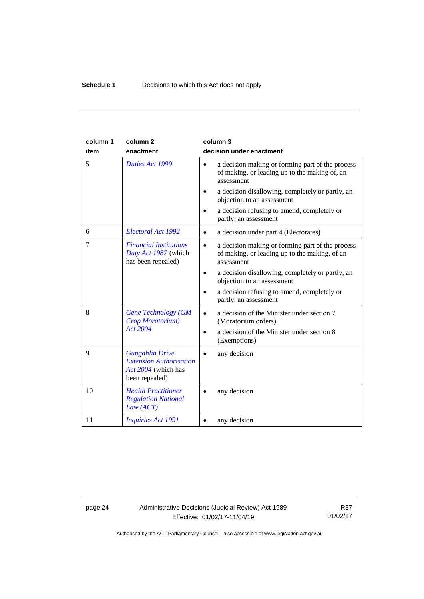| column 1<br>item | column <sub>2</sub><br>enactment                                                                  | column 3<br>decision under enactment                                                                                         |
|------------------|---------------------------------------------------------------------------------------------------|------------------------------------------------------------------------------------------------------------------------------|
| 5                | Duties Act 1999                                                                                   | a decision making or forming part of the process<br>$\bullet$<br>of making, or leading up to the making of, an<br>assessment |
|                  |                                                                                                   | a decision disallowing, completely or partly, an<br>objection to an assessment                                               |
|                  |                                                                                                   | a decision refusing to amend, completely or<br>partly, an assessment                                                         |
| 6                | Electoral Act 1992                                                                                | a decision under part 4 (Electorates)<br>$\bullet$                                                                           |
| 7                | <b>Financial Institutions</b><br>Duty Act 1987 (which<br>has been repealed)                       | a decision making or forming part of the process<br>$\bullet$<br>of making, or leading up to the making, of an<br>assessment |
|                  |                                                                                                   | a decision disallowing, completely or partly, an<br>objection to an assessment                                               |
|                  |                                                                                                   | a decision refusing to amend, completely or<br>partly, an assessment                                                         |
| 8                | <b>Gene Technology (GM</b><br>Crop Moratorium)                                                    | a decision of the Minister under section 7<br>(Moratorium orders)                                                            |
|                  | <b>Act 2004</b>                                                                                   | a decision of the Minister under section 8<br>(Exemptions)                                                                   |
| 9                | <b>Gungahlin Drive</b><br><b>Extension Authorisation</b><br>Act 2004 (which has<br>been repealed) | any decision                                                                                                                 |
| 10               | <b>Health Practitioner</b><br><b>Regulation National</b><br>Law (ACT)                             | any decision                                                                                                                 |
| 11               | <b>Inquiries Act 1991</b>                                                                         | any decision                                                                                                                 |

## page 24 Administrative Decisions (Judicial Review) Act 1989 Effective: 01/02/17-11/04/19

R37 01/02/17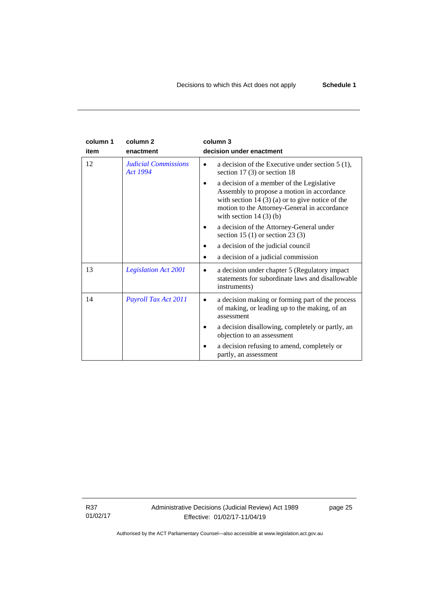| column 1 | column <sub>2</sub>                            | column 3                                                                                                                                                                                                               |
|----------|------------------------------------------------|------------------------------------------------------------------------------------------------------------------------------------------------------------------------------------------------------------------------|
| item     | enactment                                      | decision under enactment                                                                                                                                                                                               |
| 12       | <b>Judicial Commissions</b><br><b>Act 1994</b> | a decision of the Executive under section $5(1)$ ,<br>section 17 $(3)$ or section 18                                                                                                                                   |
|          |                                                | a decision of a member of the Legislative<br>Assembly to propose a motion in accordance<br>with section $14(3)(a)$ or to give notice of the<br>motion to the Attorney-General in accordance<br>with section $14(3)(b)$ |
|          |                                                | a decision of the Attorney-General under<br>section 15 (1) or section 23 (3)                                                                                                                                           |
|          |                                                | a decision of the judicial council                                                                                                                                                                                     |
|          |                                                | a decision of a judicial commission                                                                                                                                                                                    |
| 13       | <b>Legislation Act 2001</b>                    | a decision under chapter 5 (Regulatory impact<br>statements for subordinate laws and disallowable<br>instruments)                                                                                                      |
| 14       | Payroll Tax Act 2011                           | a decision making or forming part of the process<br>of making, or leading up to the making, of an<br>assessment                                                                                                        |
|          |                                                | a decision disallowing, completely or partly, an<br>objection to an assessment                                                                                                                                         |
|          |                                                | a decision refusing to amend, completely or<br>partly, an assessment                                                                                                                                                   |

R37 01/02/17 Administrative Decisions (Judicial Review) Act 1989 Effective: 01/02/17-11/04/19

page 25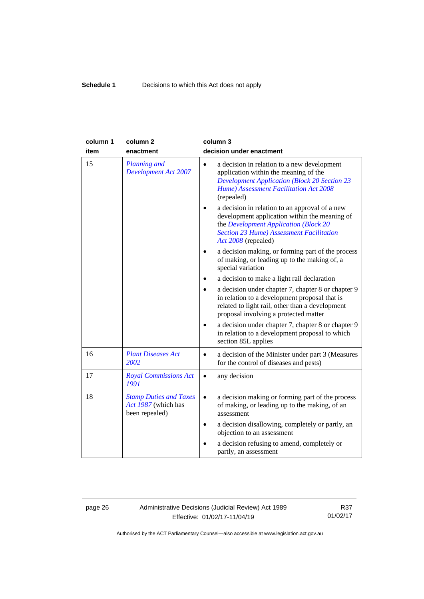| column 1 | column <sub>2</sub>                                                    | column 3                                                                                                                                                                                                                                                           |
|----------|------------------------------------------------------------------------|--------------------------------------------------------------------------------------------------------------------------------------------------------------------------------------------------------------------------------------------------------------------|
| item     | enactment                                                              | decision under enactment                                                                                                                                                                                                                                           |
| 15       | <b>Planning and</b><br><b>Development Act 2007</b>                     | a decision in relation to a new development<br>$\bullet$<br>application within the meaning of the<br><b>Development Application (Block 20 Section 23</b><br>Hume) Assessment Facilitation Act 2008<br>(repealed)<br>a decision in relation to an approval of a new |
|          |                                                                        | development application within the meaning of<br>the Development Application (Block 20<br><b>Section 23 Hume) Assessment Facilitation</b><br>Act 2008 (repealed)                                                                                                   |
|          |                                                                        | a decision making, or forming part of the process<br>of making, or leading up to the making of, a<br>special variation                                                                                                                                             |
|          |                                                                        | a decision to make a light rail declaration                                                                                                                                                                                                                        |
|          |                                                                        | a decision under chapter 7, chapter 8 or chapter 9<br>in relation to a development proposal that is<br>related to light rail, other than a development<br>proposal involving a protected matter                                                                    |
|          |                                                                        | a decision under chapter 7, chapter 8 or chapter 9<br>in relation to a development proposal to which<br>section 85L applies                                                                                                                                        |
| 16       | <b>Plant Diseases Act</b><br>2002                                      | a decision of the Minister under part 3 (Measures<br>$\bullet$<br>for the control of diseases and pests)                                                                                                                                                           |
| 17       | <b>Royal Commissions Act</b><br>1991                                   | any decision<br>$\bullet$                                                                                                                                                                                                                                          |
| 18       | <b>Stamp Duties and Taxes</b><br>Act 1987 (which has<br>been repealed) | a decision making or forming part of the process<br>$\bullet$<br>of making, or leading up to the making, of an<br>assessment                                                                                                                                       |
|          |                                                                        | a decision disallowing, completely or partly, an<br>objection to an assessment                                                                                                                                                                                     |
|          |                                                                        | a decision refusing to amend, completely or<br>partly, an assessment                                                                                                                                                                                               |

## page 26 Administrative Decisions (Judicial Review) Act 1989 Effective: 01/02/17-11/04/19

R37 01/02/17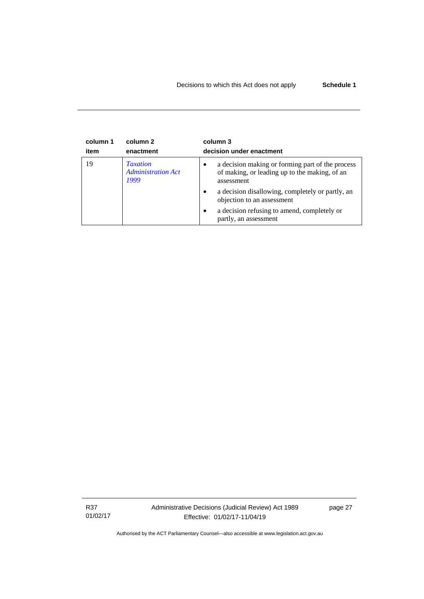| column 1 | column 2                                             | column 3                                                                                                                                                                                                                                                                                                 |
|----------|------------------------------------------------------|----------------------------------------------------------------------------------------------------------------------------------------------------------------------------------------------------------------------------------------------------------------------------------------------------------|
| item     | enactment                                            | decision under enactment                                                                                                                                                                                                                                                                                 |
| 19       | <b>Taxation</b><br><b>Administration Act</b><br>1999 | a decision making or forming part of the process<br>٠<br>of making, or leading up to the making, of an<br>assessment<br>a decision disallowing, completely or partly, an<br>$\bullet$<br>objection to an assessment<br>a decision refusing to amend, completely or<br>$\bullet$<br>partly, an assessment |

R37 01/02/17 Administrative Decisions (Judicial Review) Act 1989 Effective: 01/02/17-11/04/19

page 27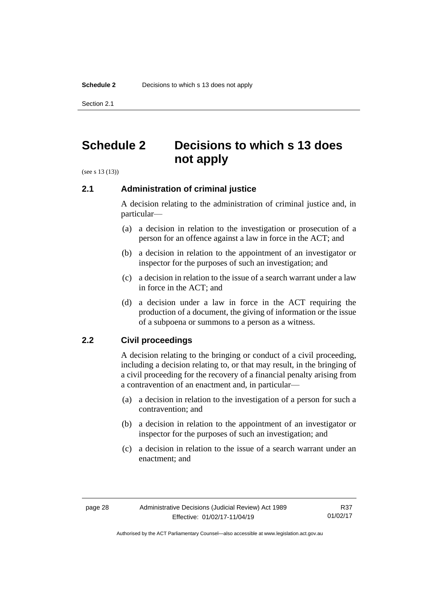Section 2.1

## <span id="page-31-0"></span>**Schedule 2 Decisions to which s 13 does not apply**

<span id="page-31-1"></span>(see s 13 (13))

## **2.1 Administration of criminal justice**

A decision relating to the administration of criminal justice and, in particular—

- (a) a decision in relation to the investigation or prosecution of a person for an offence against a law in force in the ACT; and
- (b) a decision in relation to the appointment of an investigator or inspector for the purposes of such an investigation; and
- (c) a decision in relation to the issue of a search warrant under a law in force in the ACT; and
- (d) a decision under a law in force in the ACT requiring the production of a document, the giving of information or the issue of a subpoena or summons to a person as a witness.

## <span id="page-31-2"></span>**2.2 Civil proceedings**

A decision relating to the bringing or conduct of a civil proceeding, including a decision relating to, or that may result, in the bringing of a civil proceeding for the recovery of a financial penalty arising from a contravention of an enactment and, in particular—

- (a) a decision in relation to the investigation of a person for such a contravention; and
- (b) a decision in relation to the appointment of an investigator or inspector for the purposes of such an investigation; and
- (c) a decision in relation to the issue of a search warrant under an enactment; and

R37 01/02/17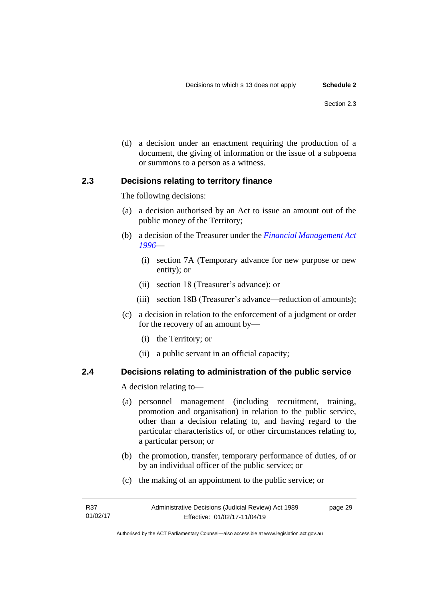(d) a decision under an enactment requiring the production of a document, the giving of information or the issue of a subpoena or summons to a person as a witness.

## <span id="page-32-0"></span>**2.3 Decisions relating to territory finance**

The following decisions:

- (a) a decision authorised by an Act to issue an amount out of the public money of the Territory;
- (b) a decision of the Treasurer under the *[Financial Management Act](http://www.legislation.act.gov.au/a/1996-22)  [1996](http://www.legislation.act.gov.au/a/1996-22)*—
	- (i) section 7A (Temporary advance for new purpose or new entity); or
	- (ii) section 18 (Treasurer's advance); or
	- (iii) section 18B (Treasurer's advance—reduction of amounts);
- (c) a decision in relation to the enforcement of a judgment or order for the recovery of an amount by—
	- (i) the Territory; or
	- (ii) a public servant in an official capacity;

## <span id="page-32-1"></span>**2.4 Decisions relating to administration of the public service**

A decision relating to—

- (a) personnel management (including recruitment, training, promotion and organisation) in relation to the public service, other than a decision relating to, and having regard to the particular characteristics of, or other circumstances relating to, a particular person; or
- (b) the promotion, transfer, temporary performance of duties, of or by an individual officer of the public service; or
- (c) the making of an appointment to the public service; or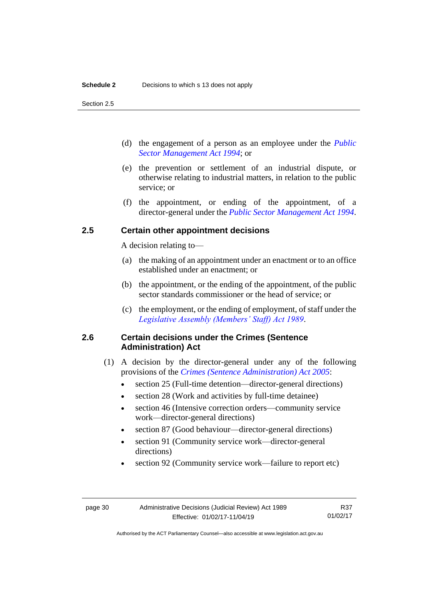Section 2.5

- (d) the engagement of a person as an employee under the *[Public](http://www.legislation.act.gov.au/a/1994-37)  [Sector Management Act 1994](http://www.legislation.act.gov.au/a/1994-37)*; or
- (e) the prevention or settlement of an industrial dispute, or otherwise relating to industrial matters, in relation to the public service; or
- (f) the appointment, or ending of the appointment, of a director-general under the *[Public Sector Management Act](http://www.legislation.act.gov.au/a/1994-37) 1994*.

## <span id="page-33-0"></span>**2.5 Certain other appointment decisions**

A decision relating to—

- (a) the making of an appointment under an enactment or to an office established under an enactment; or
- (b) the appointment, or the ending of the appointment, of the public sector standards commissioner or the head of service; or
- (c) the employment, or the ending of employment, of staff under the *[Legislative Assembly \(Members' Staff\) Act 1989](http://www.legislation.act.gov.au/a/1989-19)*.

## <span id="page-33-1"></span>**2.6 Certain decisions under the Crimes (Sentence Administration) Act**

- (1) A decision by the director-general under any of the following provisions of the *[Crimes \(Sentence Administration\) Act 2005](http://www.legislation.act.gov.au/a/2005-59)*:
	- section 25 (Full-time detention—director-general directions)
	- section 28 (Work and activities by full-time detainee)
	- section 46 (Intensive correction orders—community service work—director-general directions)
	- section 87 (Good behaviour—director-general directions)
	- section 91 (Community service work—director-general directions)
	- section 92 (Community service work—failure to report etc)

R37 01/02/17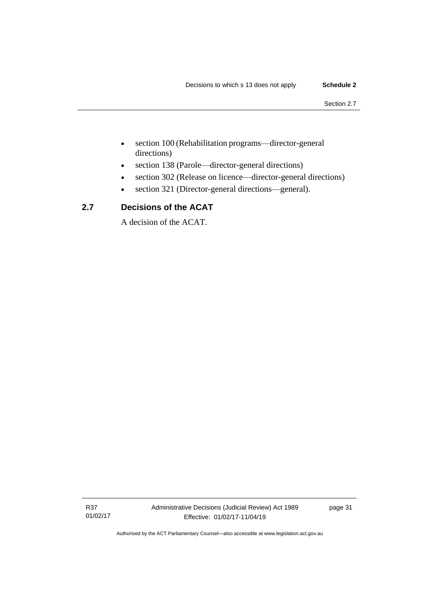- section 100 (Rehabilitation programs—director-general directions)
- section 138 (Parole—director-general directions)
- section 302 (Release on licence—director-general directions)
- section 321 (Director-general directions—general).

## <span id="page-34-0"></span>**2.7 Decisions of the ACAT**

A decision of the ACAT.

R37 01/02/17 page 31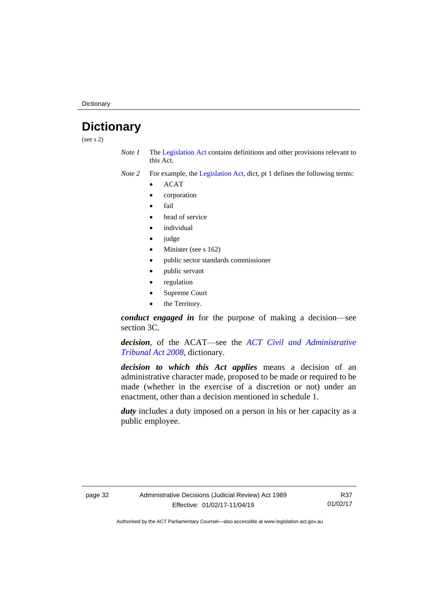**Dictionary** 

## <span id="page-35-0"></span>**Dictionary**

(see s 2)

*Note 1* The [Legislation Act](http://www.legislation.act.gov.au/a/2001-14) contains definitions and other provisions relevant to this Act.

*Note 2* For example, the [Legislation Act,](http://www.legislation.act.gov.au/a/2001-14) dict, pt 1 defines the following terms:

- ACAT
- corporation
- fail
- head of service
- *individual*
- judge
- Minister (see s 162)
- public sector standards commissioner
- public servant
- regulation
- Supreme Court
- the Territory.

*conduct engaged in* for the purpose of making a decision—see section 3C.

*decision*, of the ACAT—see the *[ACT Civil and Administrative](http://www.legislation.act.gov.au/a/2008-35)  [Tribunal Act 2008](http://www.legislation.act.gov.au/a/2008-35)*, dictionary.

*decision to which this Act applies* means a decision of an administrative character made, proposed to be made or required to be made (whether in the exercise of a discretion or not) under an enactment, other than a decision mentioned in schedule 1.

*duty* includes a duty imposed on a person in his or her capacity as a public employee.

R37 01/02/17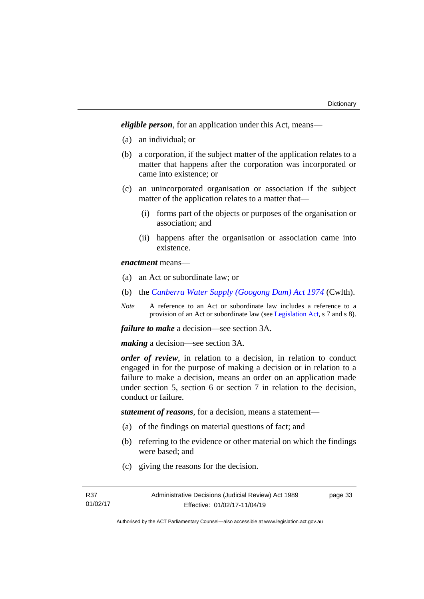*eligible person*, for an application under this Act, means—

- (a) an individual; or
- (b) a corporation, if the subject matter of the application relates to a matter that happens after the corporation was incorporated or came into existence; or
- (c) an unincorporated organisation or association if the subject matter of the application relates to a matter that—
	- (i) forms part of the objects or purposes of the organisation or association; and
	- (ii) happens after the organisation or association came into existence.

*enactment* means—

- (a) an Act or subordinate law; or
- (b) the *[Canberra Water Supply \(Googong Dam\) Act 1974](http://www.comlaw.gov.au/Details/C2008C00317)* (Cwlth).
- *Note* A reference to an Act or subordinate law includes a reference to a provision of an Act or subordinate law (se[e Legislation Act,](http://www.legislation.act.gov.au/a/2001-14) s 7 and s 8).

*failure to make* a decision—see section 3A.

*making* a decision—see section 3A.

*order of review*, in relation to a decision, in relation to conduct engaged in for the purpose of making a decision or in relation to a failure to make a decision, means an order on an application made under section 5, section 6 or section 7 in relation to the decision, conduct or failure.

*statement of reasons*, for a decision, means a statement—

- (a) of the findings on material questions of fact; and
- (b) referring to the evidence or other material on which the findings were based; and
- (c) giving the reasons for the decision.

page 33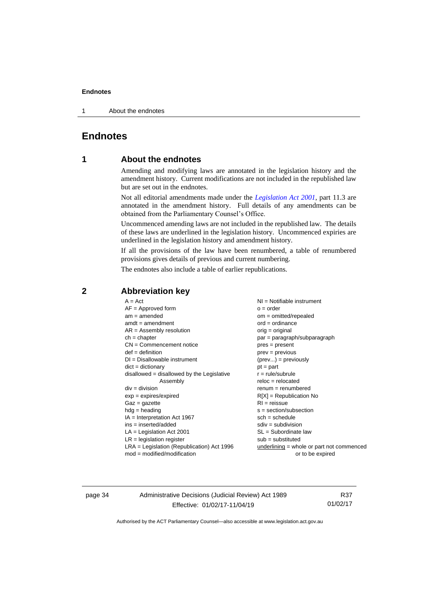1 About the endnotes

## <span id="page-37-1"></span><span id="page-37-0"></span>**Endnotes**

## **1 About the endnotes**

Amending and modifying laws are annotated in the legislation history and the amendment history. Current modifications are not included in the republished law but are set out in the endnotes.

Not all editorial amendments made under the *[Legislation Act 2001](http://www.legislation.act.gov.au/a/2001-14)*, part 11.3 are annotated in the amendment history. Full details of any amendments can be obtained from the Parliamentary Counsel's Office.

Uncommenced amending laws are not included in the republished law. The details of these laws are underlined in the legislation history. Uncommenced expiries are underlined in the legislation history and amendment history.

If all the provisions of the law have been renumbered, a table of renumbered provisions gives details of previous and current numbering.

The endnotes also include a table of earlier republications.

| $A = Act$                                    | NI = Notifiable instrument                  |
|----------------------------------------------|---------------------------------------------|
| $AF =$ Approved form                         | $o = order$                                 |
| $am = amended$                               | $om = omitted/report$                       |
| $amdt = amendment$                           | $ord = ordinance$                           |
| $AR = Assembly resolution$                   | orig = original                             |
| $ch = chapter$                               | $par = paragraph/subparagraph$              |
| $CN =$ Commencement notice                   | $pres = present$                            |
| $def = definition$                           | $prev = previous$                           |
| $DI = Disallowable instrument$               | $(\text{prev}) = \text{previously}$         |
| $dict = dictionary$                          | $pt = part$                                 |
| $disallowed = disallowed by the Legislative$ | $r = rule/subrule$                          |
| Assembly                                     | $reloc = relocated$                         |
| $div = division$                             | $remum = renumbered$                        |
| $exp = expires/expired$                      | $R[X]$ = Republication No                   |
| $Gaz = gazette$                              | $RI = reissue$                              |
| $hdg =$ heading                              | $s = section/subsection$                    |
| $IA = Interpretation Act 1967$               | $sch = schedule$                            |
| $ins = inserted/added$                       | $sdiv = subdivision$                        |
| $LA =$ Legislation Act 2001                  | $SL = Subordinate$ law                      |
| $LR =$ legislation register                  | $sub =$ substituted                         |
| LRA = Legislation (Republication) Act 1996   | $underlining = whole or part not commenced$ |
| $mod = modified/modification$                | or to be expired                            |
|                                              |                                             |

## <span id="page-37-2"></span>**2 Abbreviation key**

page 34 Administrative Decisions (Judicial Review) Act 1989 Effective: 01/02/17-11/04/19

R37 01/02/17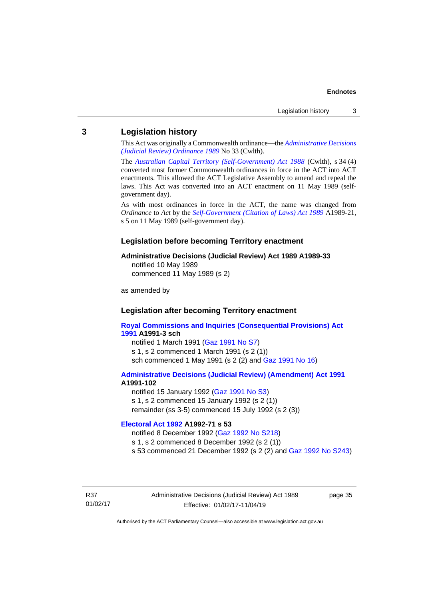### <span id="page-38-0"></span>**3 Legislation history**

This Act was originally a Commonwealth ordinance—the *[Administrative Decisions](http://www.legislation.act.gov.au/a/alt_a1989-33co)  [\(Judicial Review\) Ordinance 1989](http://www.legislation.act.gov.au/a/alt_a1989-33co)* No 33 (Cwlth).

The *[Australian Capital Territory \(Self-Government\) Act 1988](http://www.comlaw.gov.au/Current/C2004A03699)* (Cwlth), s 34 (4) converted most former Commonwealth ordinances in force in the ACT into ACT enactments. This allowed the ACT Legislative Assembly to amend and repeal the laws. This Act was converted into an ACT enactment on 11 May 1989 (selfgovernment day).

As with most ordinances in force in the ACT, the name was changed from *Ordinance* to *Act* by the *[Self-Government \(Citation of Laws\) Act 1989](http://www.legislation.act.gov.au/a/alt_ord1989-21/default.asp)* A1989-21, s 5 on 11 May 1989 (self-government day).

#### **Legislation before becoming Territory enactment**

#### **Administrative Decisions (Judicial Review) Act 1989 A1989-33**

notified 10 May 1989 commenced 11 May 1989 (s 2)

as amended by

## **Legislation after becoming Territory enactment**

**[Royal Commissions and Inquiries \(Consequential Provisions\) Act](http://www.legislation.act.gov.au/a/1991-3)  [1991](http://www.legislation.act.gov.au/a/1991-3) A1991-3 sch** notified 1 March 1991 [\(Gaz 1991 No S7\)](http://www.legislation.act.gov.au/gaz/1991-S7/default.asp)

s 1, s 2 commenced 1 March 1991 (s 2 (1)) sch commenced 1 May 1991 (s 2 (2) and [Gaz 1991 No 16\)](http://www.legislation.act.gov.au/gaz/1991-16/default.asp)

#### **[Administrative Decisions \(Judicial Review\) \(Amendment\) Act 1991](http://www.legislation.act.gov.au/a/1991-102) A1991-102**

notified 15 January 1992 [\(Gaz 1991 No S3\)](http://www.legislation.act.gov.au/gaz/1991-S3/default.asp) s 1, s 2 commenced 15 January 1992 (s 2 (1)) remainder (ss 3-5) commenced 15 July 1992 (s 2 (3))

## **[Electoral Act 1992](http://www.legislation.act.gov.au/a/1992-71) A1992-71 s 53**

notified 8 December 1992 [\(Gaz 1992 No S218\)](http://www.legislation.act.gov.au/gaz/1992-S218/default.asp) s 1, s 2 commenced 8 December 1992 (s 2 (1)) s 53 commenced 21 December 1992 (s 2 (2) and [Gaz 1992 No S243\)](http://www.legislation.act.gov.au/gaz/1992-S243/default.asp)

R37 01/02/17 Administrative Decisions (Judicial Review) Act 1989 Effective: 01/02/17-11/04/19

page 35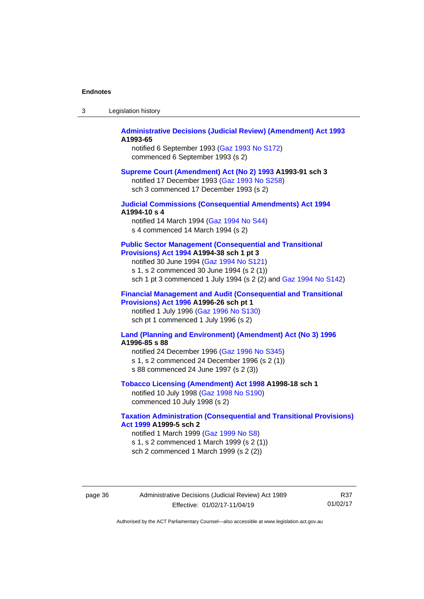| Legislation history<br>-3 |
|---------------------------|
|---------------------------|

#### **[Administrative Decisions \(Judicial Review\) \(Amendment\) Act 1993](http://www.legislation.act.gov.au/a/1993-65) A1993-65**

notified 6 September 1993 [\(Gaz 1993 No S172\)](http://www.legislation.act.gov.au/gaz/1993-S172/default.asp) commenced 6 September 1993 (s 2)

#### **[Supreme Court \(Amendment\) Act \(No 2\) 1993](http://www.legislation.act.gov.au/a/1993-91) A1993-91 sch 3**

notified 17 December 1993 [\(Gaz 1993 No S258\)](http://www.legislation.act.gov.au/gaz/1993-S258/default.asp) sch 3 commenced 17 December 1993 (s 2)

#### **[Judicial Commissions \(Consequential Amendments\) Act 1994](http://www.legislation.act.gov.au/a/1994-10) A1994-10 s 4**

notified 14 March 1994 [\(Gaz 1994 No S44\)](http://www.legislation.act.gov.au/gaz/1994-S44/default.asp) s 4 commenced 14 March 1994 (s 2)

#### **[Public Sector Management \(Consequential and Transitional](http://www.legislation.act.gov.au/a/1994-38)  [Provisions\) Act 1994](http://www.legislation.act.gov.au/a/1994-38) A1994-38 sch 1 pt 3**

notified 30 June 1994 [\(Gaz 1994 No S121\)](http://www.legislation.act.gov.au/gaz/1994-S121/default.asp)

s 1, s 2 commenced 30 June 1994 (s 2 (1))

sch 1 pt 3 commenced 1 July 1994 (s 2 (2) and [Gaz 1994 No S142\)](http://www.legislation.act.gov.au/gaz/1994-S142/default.asp)

#### **[Financial Management and Audit \(Consequential and Transitional](http://www.legislation.act.gov.au/a/1996-26)  [Provisions\) Act 1996](http://www.legislation.act.gov.au/a/1996-26) A1996-26 sch pt 1**

notified 1 July 1996 [\(Gaz 1996 No S130\)](http://www.legislation.act.gov.au/gaz/1996-S130/default.asp) sch pt 1 commenced 1 July 1996 (s 2)

#### **[Land \(Planning and Environment\) \(Amendment\) Act \(No 3\) 1996](http://www.legislation.act.gov.au/a/1996-85) A1996-85 s 88**

notified 24 December 1996 [\(Gaz 1996 No S345\)](http://www.legislation.act.gov.au/gaz/1996-S345/default.asp) s 1, s 2 commenced 24 December 1996 (s 2 (1)) s 88 commenced 24 June 1997 (s 2 (3))

## **[Tobacco Licensing \(Amendment\) Act 1998](http://www.legislation.act.gov.au/a/1998-18) A1998-18 sch 1**

notified 10 July 1998 [\(Gaz 1998 No S190\)](http://www.legislation.act.gov.au/gaz/1998-S190/default.asp) commenced 10 July 1998 (s 2)

#### **[Taxation Administration \(Consequential and Transitional Provisions\)](http://www.legislation.act.gov.au/a/1999-5)  [Act 1999](http://www.legislation.act.gov.au/a/1999-5) A1999-5 sch 2**

notified 1 March 1999 [\(Gaz 1999 No S8\)](http://www.legislation.act.gov.au/gaz/1999-S8/default.asp) s 1, s 2 commenced 1 March 1999 (s 2 (1))

sch 2 commenced 1 March 1999 (s 2 (2))

page 36 Administrative Decisions (Judicial Review) Act 1989 Effective: 01/02/17-11/04/19

R37 01/02/17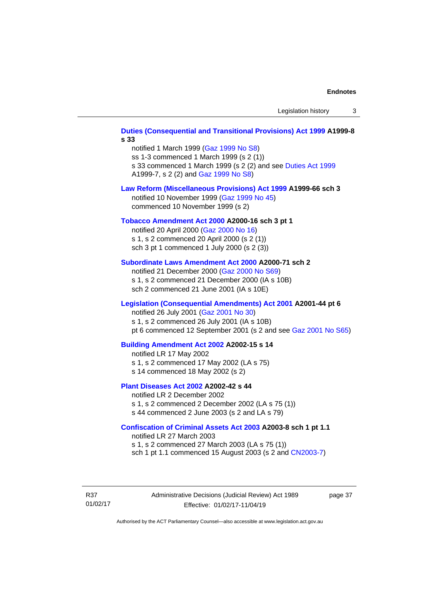## **Duties (Consequential and [Transitional Provisions\) Act 1999](http://www.legislation.act.gov.au/a/1999-8) A1999-8 s 33** notified 1 March 1999 [\(Gaz 1999 No S8\)](http://www.legislation.act.gov.au/gaz/1999-S8/default.asp) ss 1-3 commenced 1 March 1999 (s 2 (1)) s 33 commenced 1 March 1999 (s 2 (2) and see [Duties Act 1999](http://www.legislation.act.gov.au/a/1999-7) A1999-7, s 2 (2) and [Gaz 1999 No S8\)](http://www.legislation.act.gov.au/gaz/1999-S8/default.asp) **[Law Reform \(Miscellaneous Provisions\) Act 1999](http://www.legislation.act.gov.au/a/1999-66) A1999-66 sch 3** notified 10 November 1999 [\(Gaz 1999 No 45\)](http://www.legislation.act.gov.au/gaz/1999-45/default.asp) commenced 10 November 1999 (s 2) **[Tobacco Amendment Act 2000](http://www.legislation.act.gov.au/a/2000-16) A2000-16 sch 3 pt 1** notified 20 April 2000 [\(Gaz 2000 No 16\)](http://www.legislation.act.gov.au/gaz/2000-16/default.asp) s 1, s 2 commenced 20 April 2000 (s 2 (1)) sch 3 pt 1 commenced 1 July 2000 (s 2 (3)) **[Subordinate Laws Amendment Act 2000](http://www.legislation.act.gov.au/a/2000-71) A2000-71 sch 2** notified 21 December 2000 [\(Gaz 2000 No S69\)](http://www.legislation.act.gov.au/gaz/2000-S69/default.asp) s 1, s 2 commenced 21 December 2000 (IA s 10B) sch 2 commenced 21 June 2001 (IA s 10E) **[Legislation \(Consequential Amendments\) Act 2001](http://www.legislation.act.gov.au/a/2001-44) A2001-44 pt 6** notified 26 July 2001 [\(Gaz 2001 No 30\)](http://www.legislation.act.gov.au/gaz/2001-30/default.asp) s 1, s 2 commenced 26 July 2001 (IA s 10B) pt 6 commenced 12 September 2001 (s 2 and see [Gaz 2001 No S65\)](http://www.legislation.act.gov.au/gaz/2001-S65/default.asp) **[Building Amendment Act 2002](http://www.legislation.act.gov.au/a/2002-15) A2002-15 s 14** notified LR 17 May 2002 s 1, s 2 commenced 17 May 2002 (LA s 75) s 14 commenced 18 May 2002 (s 2) **[Plant Diseases Act 2002](http://www.legislation.act.gov.au/a/2002-42) A2002-42 s 44** notified LR 2 December 2002 s 1, s 2 commenced 2 December 2002 (LA s 75 (1)) s 44 commenced 2 June 2003 (s 2 and LA s 79) **[Confiscation of Criminal Assets Act 2003](http://www.legislation.act.gov.au/a/2003-8) A2003-8 sch 1 pt 1.1** notified LR 27 March 2003 s 1, s 2 commenced 27 March 2003 (LA s 75 (1)) sch 1 pt 1.1 commenced 15 August 2003 (s 2 and [CN2003-7\)](http://www.legislation.act.gov.au/cn/2003-7/default.asp)

R37 01/02/17 Administrative Decisions (Judicial Review) Act 1989 Effective: 01/02/17-11/04/19

page 37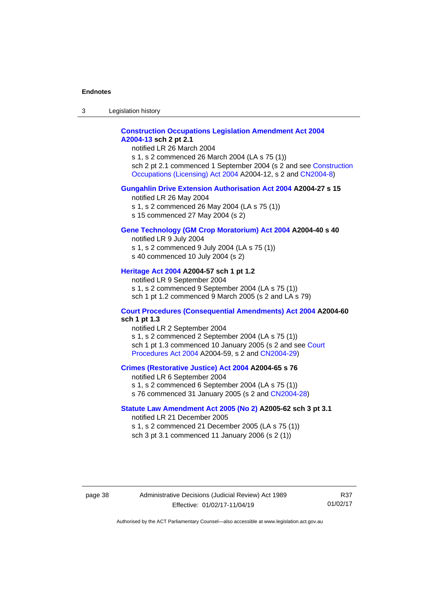3 Legislation history

### **[Construction Occupations Legislation Amendment Act 2004](http://www.legislation.act.gov.au/a/2004-13) [A2004-13](http://www.legislation.act.gov.au/a/2004-13) sch 2 pt 2.1**

notified LR 26 March 2004

s 1, s 2 commenced 26 March 2004 (LA s 75 (1)) sch 2 pt 2.1 commenced 1 September 2004 (s 2 and see [Construction](http://www.legislation.act.gov.au/a/2004-12)  [Occupations \(Licensing\) Act 2004](http://www.legislation.act.gov.au/a/2004-12) A2004-12, s 2 and [CN2004-8\)](http://www.legislation.act.gov.au/cn/2004-8/default.asp)

#### **[Gungahlin Drive Extension Authorisation Act 2004](http://www.legislation.act.gov.au/a/2004-27) A2004-27 s 15**

notified LR 26 May 2004

- s 1, s 2 commenced 26 May 2004 (LA s 75 (1))
- s 15 commenced 27 May 2004 (s 2)

## **[Gene Technology \(GM Crop Moratorium\) Act 2004](http://www.legislation.act.gov.au/a/2004-40) A2004-40 s 40**

notified LR 9 July 2004 s 1, s 2 commenced 9 July 2004 (LA s 75 (1))

s 40 commenced 10 July 2004 (s 2)

#### **[Heritage Act 2004](http://www.legislation.act.gov.au/a/2004-57) A2004-57 sch 1 pt 1.2**

notified LR 9 September 2004 s 1, s 2 commenced 9 September 2004 (LA s 75 (1)) sch 1 pt 1.2 commenced 9 March 2005 (s 2 and LA s 79)

#### **[Court Procedures \(Consequential Amendments\) Act 2004](http://www.legislation.act.gov.au/a/2004-60) A2004-60 sch 1 pt 1.3**

notified LR 2 September 2004 s 1, s 2 commenced 2 September 2004 (LA s 75 (1)) sch 1 pt 1.3 commenced 10 January 2005 (s 2 and see Court [Procedures Act](http://www.legislation.act.gov.au/a/2004-59) 2004 A2004-59, s 2 an[d CN2004-29\)](http://www.legislation.act.gov.au/cn/2004-29/default.asp)

#### **[Crimes \(Restorative Justice\) Act 2004](http://www.legislation.act.gov.au/a/2004-65) A2004-65 s 76**

notified LR 6 September 2004 s 1, s 2 commenced 6 September 2004 (LA s 75 (1))

s 76 commenced 31 January 2005 (s 2 and [CN2004-28\)](http://www.legislation.act.gov.au/cn/2004-28/default.asp)

#### **[Statute Law Amendment Act 2005 \(No 2\)](http://www.legislation.act.gov.au/a/2005-62) A2005-62 sch 3 pt 3.1**

notified LR 21 December 2005 s 1, s 2 commenced 21 December 2005 (LA s 75 (1)) sch 3 pt 3.1 commenced 11 January 2006 (s 2 (1))

#### page 38 Administrative Decisions (Judicial Review) Act 1989 Effective: 01/02/17-11/04/19

R37 01/02/17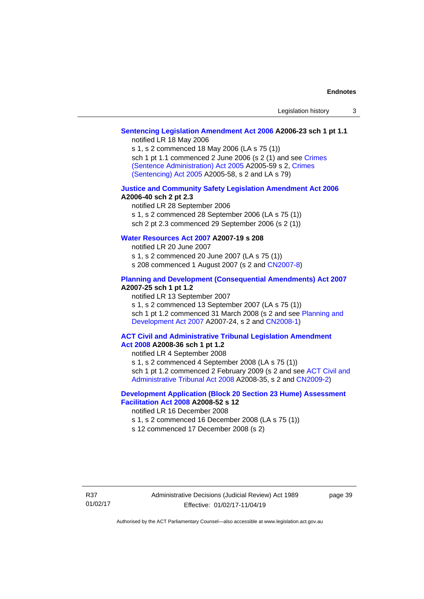## **[Sentencing Legislation Amendment Act 2006](http://www.legislation.act.gov.au/a/2006-23) A2006-23 sch 1 pt 1.1**

notified LR 18 May 2006

s 1, s 2 commenced 18 May 2006 (LA s 75 (1)) sch 1 pt 1.1 commenced 2 June 2006 (s 2 (1) and see Crimes [\(Sentence Administration\) Act 2005](http://www.legislation.act.gov.au/a/2005-59) A2005-59 s 2, [Crimes](http://www.legislation.act.gov.au/a/2005-58)  [\(Sentencing\) Act 2005](http://www.legislation.act.gov.au/a/2005-58) A2005-58, s 2 and LA s 79)

#### **[Justice and Community Safety Legislation Amendment Act 2006](http://www.legislation.act.gov.au/a/2006-40) A2006-40 sch 2 pt 2.3**

notified LR 28 September 2006 s 1, s 2 commenced 28 September 2006 (LA s 75 (1)) sch 2 pt 2.3 commenced 29 September 2006 (s 2 (1))

## **[Water Resources Act 2007](http://www.legislation.act.gov.au/a/2007-19) A2007-19 s 208**

notified LR 20 June 2007

s 1, s 2 commenced 20 June 2007 (LA s 75 (1))

s 208 commenced 1 August 2007 (s 2 and [CN2007-8\)](http://www.legislation.act.gov.au/cn/2007-8/default.asp)

#### **[Planning and Development \(Consequential Amendments\) Act](http://www.legislation.act.gov.au/a/2007-25) 2007 A2007-25 sch 1 pt 1.2**

notified LR 13 September 2007

s 1, s 2 commenced 13 September 2007 (LA s 75 (1)) sch 1 pt 1.2 commenced 31 March 2008 (s 2 and see Planning and [Development Act 2007](http://www.legislation.act.gov.au/a/2007-24) A2007-24, s 2 and [CN2008-1\)](http://www.legislation.act.gov.au/cn/2008-1/default.asp)

#### **[ACT Civil and Administrative Tribunal Legislation Amendment](http://www.legislation.act.gov.au/a/2008-36)  Act [2008](http://www.legislation.act.gov.au/a/2008-36) A2008-36 sch 1 pt 1.2**

notified LR 4 September 2008

s 1, s 2 commenced 4 September 2008 (LA s 75 (1))

sch 1 pt 1.2 commenced 2 February 2009 (s 2 and see ACT Civil and [Administrative Tribunal Act 2008](http://www.legislation.act.gov.au/a/2008-35) A2008-35, s 2 and [CN2009-2\)](http://www.legislation.act.gov.au/cn/2009-2/default.asp)

### **[Development Application \(Block 20 Section 23 Hume\) Assessment](http://www.legislation.act.gov.au/a/2008-52)  [Facilitation Act 2008](http://www.legislation.act.gov.au/a/2008-52) A2008-52 s 12**

notified LR 16 December 2008

- s 1, s 2 commenced 16 December 2008 (LA s 75 (1))
- s 12 commenced 17 December 2008 (s 2)

page 39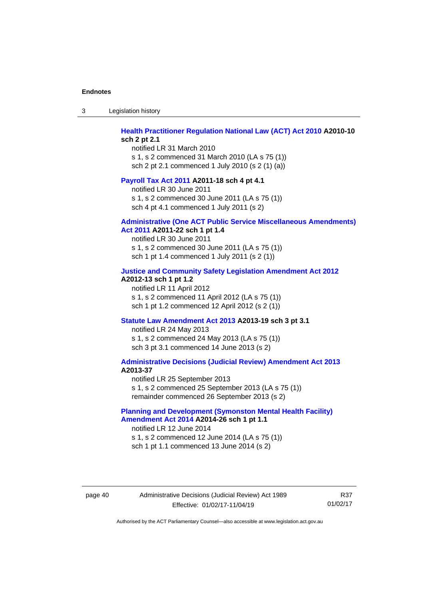3 Legislation history

#### **[Health Practitioner Regulation National Law \(ACT\) Act 2010](http://www.legislation.act.gov.au/a/2010-10) A2010-10 sch 2 pt 2.1**

notified LR 31 March 2010 s 1, s 2 commenced 31 March 2010 (LA s 75 (1)) sch 2 pt 2.1 commenced 1 July 2010 (s 2 (1) (a))

#### **[Payroll Tax Act 2011](http://www.legislation.act.gov.au/a/2011-18) A2011-18 sch 4 pt 4.1**

notified LR 30 June 2011 s 1, s 2 commenced 30 June 2011 (LA s 75 (1)) sch 4 pt 4.1 commenced 1 July 2011 (s 2)

#### **[Administrative \(One ACT Public Service Miscellaneous Amendments\)](http://www.legislation.act.gov.au/a/2011-22)  Act [2011](http://www.legislation.act.gov.au/a/2011-22) A2011-22 sch 1 pt 1.4**

notified LR 30 June 2011 s 1, s 2 commenced 30 June 2011 (LA s 75 (1)) sch 1 pt 1.4 commenced 1 July 2011 (s 2 (1))

#### **[Justice and Community Safety Legislation Amendment Act 2012](http://www.legislation.act.gov.au/a/2012-13)**

#### **A2012-13 sch 1 pt 1.2**

notified LR 11 April 2012 s 1, s 2 commenced 11 April 2012 (LA s 75 (1)) sch 1 pt 1.2 commenced 12 April 2012 (s 2 (1))

#### **[Statute Law Amendment Act 2013](http://www.legislation.act.gov.au/a/2013-19) A2013-19 sch 3 pt 3.1**

notified LR 24 May 2013 s 1, s 2 commenced 24 May 2013 (LA s 75 (1)) sch 3 pt 3.1 commenced 14 June 2013 (s 2)

#### **[Administrative Decisions \(Judicial Review\) Amendment Act 2013](http://www.legislation.act.gov.au/a/2013-37) A2013-37**

notified LR 25 September 2013 s 1, s 2 commenced 25 September 2013 (LA s 75 (1)) remainder commenced 26 September 2013 (s 2)

#### **[Planning and Development \(Symonston Mental Health Facility\)](http://www.legislation.act.gov.au/a/2014-26)  [Amendment Act 2014](http://www.legislation.act.gov.au/a/2014-26) A2014-26 sch 1 pt 1.1**

notified LR 12 June 2014 s 1, s 2 commenced 12 June 2014 (LA s 75 (1)) sch 1 pt 1.1 commenced 13 June 2014 (s 2)

#### page 40 Administrative Decisions (Judicial Review) Act 1989 Effective: 01/02/17-11/04/19

R37 01/02/17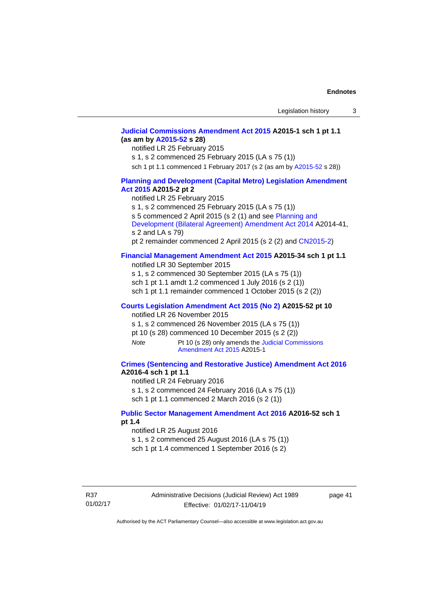## **[Judicial Commissions Amendment Act 2015](http://www.legislation.act.gov.au/a/2015-1) A2015-1 sch 1 pt 1.1 (as am by [A2015-52](http://www.legislation.act.gov.au/a/2015-52) s 28)**

notified LR 25 February 2015 s 1, s 2 commenced 25 February 2015 (LA s 75 (1)) sch 1 pt 1.1 commenced 1 February 2017 (s 2 (as am b[y A2015-52](http://www.legislation.act.gov.au/a/2015-52) s 28))

## **[Planning and Development \(Capital Metro\) Legislation Amendment](http://www.legislation.act.gov.au/a/2015-2)**

#### **Act [2015](http://www.legislation.act.gov.au/a/2015-2) A2015-2 pt 2**

notified LR 25 February 2015

s 1, s 2 commenced 25 February 2015 (LA s 75 (1))

s 5 commenced 2 April 2015 (s 2 (1) and see [Planning and](http://www.legislation.act.gov.au/a/2014-41/default.asp) 

[Development \(Bilateral Agreement\) Amendment Act](http://www.legislation.act.gov.au/a/2014-41/default.asp) 2014 A2014-41, s 2 and LA s 79)

pt 2 remainder commenced 2 April 2015 (s 2 (2) and [CN2015-2\)](http://www.legislation.act.gov.au/cn/2015-2/default.asp)

#### **[Financial Management Amendment Act 2015](http://www.legislation.act.gov.au/a/2015-34/default.asp) A2015-34 sch 1 pt 1.1**

notified LR 30 September 2015 s 1, s 2 commenced 30 September 2015 (LA s 75 (1)) sch 1 pt 1.1 amdt 1.2 commenced 1 July 2016 (s 2 (1)) sch 1 pt 1.1 remainder commenced 1 October 2015 (s 2 (2))

#### **[Courts Legislation Amendment Act 2015 \(No 2\)](http://www.legislation.act.gov.au/a/2015-52/default.asp) A2015-52 pt 10**

notified LR 26 November 2015 s 1, s 2 commenced 26 November 2015 (LA s 75 (1)) pt 10 (s 28) commenced 10 December 2015 (s 2 (2))

*Note* Pt 10 (s 28) only amends the Judicial Commissions [Amendment Act](http://www.legislation.act.gov.au/a/2015-1) 2015 A2015-1

### **[Crimes \(Sentencing and Restorative Justice\) Amendment Act 2016](http://www.legislation.act.gov.au/a/2016-4/default.asp) A2016-4 sch 1 pt 1.1**

notified LR 24 February 2016

s 1, s 2 commenced 24 February 2016 (LA s 75 (1))

sch 1 pt 1.1 commenced 2 March 2016 (s 2 (1))

#### **[Public Sector Management Amendment Act 2016](http://www.legislation.act.gov.au/a/2016-52/default.asp) A2016-52 sch 1 pt 1.4**

notified LR 25 August 2016

s 1, s 2 commenced 25 August 2016 (LA s 75 (1)) sch 1 pt 1.4 commenced 1 September 2016 (s 2)

page 41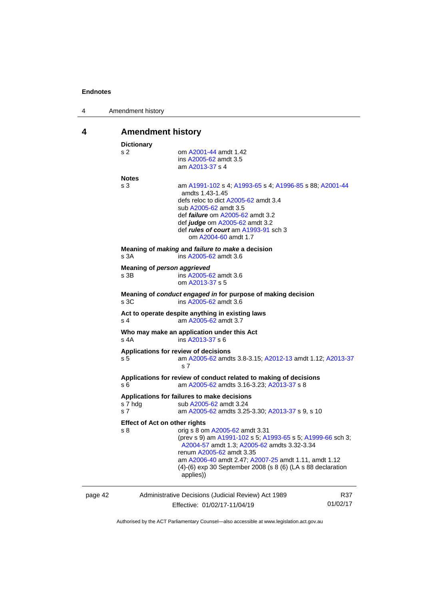| 4 | Amendment history |  |
|---|-------------------|--|
|---|-------------------|--|

## <span id="page-45-0"></span>**4 Amendment history**

| s <sub>2</sub><br>om A2001-44 amdt 1.42<br>ins A2005-62 amdt 3.5<br>am A2013-37 s 4<br><b>Notes</b><br>s <sub>3</sub><br>am A1991-102 s 4; A1993-65 s 4; A1996-85 s 88; A2001-44<br>amdts 1.43-1.45<br>defs reloc to dict A2005-62 amdt 3.4<br>sub A2005-62 amdt 3.5<br>def <i>failure</i> om A2005-62 amdt 3.2<br>def judge om A2005-62 amdt 3.2<br>def <i>rules of court</i> am A1993-91 sch 3<br>om A2004-60 amdt 1.7<br>Meaning of making and failure to make a decision<br>ins A2005-62 amdt 3.6<br>s 3A<br>Meaning of person aggrieved<br>s 3B<br>ins A2005-62 amdt 3.6<br>om A2013-37 s 5<br>Meaning of conduct engaged in for purpose of making decision<br>s 3C<br>ins A2005-62 amdt 3.6<br>Act to operate despite anything in existing laws<br>am A2005-62 amdt 3.7<br>s <sub>4</sub><br>Who may make an application under this Act<br>$s$ 4A<br>ins A2013-37 s 6<br>Applications for review of decisions<br>s <sub>5</sub><br>am A2005-62 amdts 3.8-3.15; A2012-13 amdt 1.12; A2013-37<br>s <sub>7</sub><br>Applications for review of conduct related to making of decisions<br>am A2005-62 amdts 3.16-3.23; A2013-37 s 8<br>s 6<br>Applications for failures to make decisions<br>s 7 hdg<br>sub A2005-62 amdt 3.24<br>s <sub>7</sub><br>am A2005-62 amdts 3.25-3.30; A2013-37 s 9, s 10<br><b>Effect of Act on other rights</b><br>orig s 8 om A2005-62 amdt 3.31<br>s 8<br>(prev s 9) am A1991-102 s 5; A1993-65 s 5; A1999-66 sch 3;<br>A2004-57 amdt 1.3; A2005-62 amdts 3.32-3.34<br>renum A2005-62 amdt 3.35<br>am A2006-40 amdt 2.47; A2007-25 amdt 1.11, amdt 1.12<br>(4)-(6) exp 30 September 2008 (s 8 (6) (LA s 88 declaration<br>applies))<br>Administrative Decisions (Judicial Review) Act 1989<br>page 42<br>Effective: 01/02/17-11/04/19 |  | <b>Dictionary</b> |  |                 |  |  |
|-----------------------------------------------------------------------------------------------------------------------------------------------------------------------------------------------------------------------------------------------------------------------------------------------------------------------------------------------------------------------------------------------------------------------------------------------------------------------------------------------------------------------------------------------------------------------------------------------------------------------------------------------------------------------------------------------------------------------------------------------------------------------------------------------------------------------------------------------------------------------------------------------------------------------------------------------------------------------------------------------------------------------------------------------------------------------------------------------------------------------------------------------------------------------------------------------------------------------------------------------------------------------------------------------------------------------------------------------------------------------------------------------------------------------------------------------------------------------------------------------------------------------------------------------------------------------------------------------------------------------------------------------------------------------------------------------------------------------------------------------------------------------|--|-------------------|--|-----------------|--|--|
|                                                                                                                                                                                                                                                                                                                                                                                                                                                                                                                                                                                                                                                                                                                                                                                                                                                                                                                                                                                                                                                                                                                                                                                                                                                                                                                                                                                                                                                                                                                                                                                                                                                                                                                                                                       |  |                   |  |                 |  |  |
|                                                                                                                                                                                                                                                                                                                                                                                                                                                                                                                                                                                                                                                                                                                                                                                                                                                                                                                                                                                                                                                                                                                                                                                                                                                                                                                                                                                                                                                                                                                                                                                                                                                                                                                                                                       |  |                   |  |                 |  |  |
|                                                                                                                                                                                                                                                                                                                                                                                                                                                                                                                                                                                                                                                                                                                                                                                                                                                                                                                                                                                                                                                                                                                                                                                                                                                                                                                                                                                                                                                                                                                                                                                                                                                                                                                                                                       |  |                   |  |                 |  |  |
|                                                                                                                                                                                                                                                                                                                                                                                                                                                                                                                                                                                                                                                                                                                                                                                                                                                                                                                                                                                                                                                                                                                                                                                                                                                                                                                                                                                                                                                                                                                                                                                                                                                                                                                                                                       |  |                   |  |                 |  |  |
|                                                                                                                                                                                                                                                                                                                                                                                                                                                                                                                                                                                                                                                                                                                                                                                                                                                                                                                                                                                                                                                                                                                                                                                                                                                                                                                                                                                                                                                                                                                                                                                                                                                                                                                                                                       |  |                   |  |                 |  |  |
|                                                                                                                                                                                                                                                                                                                                                                                                                                                                                                                                                                                                                                                                                                                                                                                                                                                                                                                                                                                                                                                                                                                                                                                                                                                                                                                                                                                                                                                                                                                                                                                                                                                                                                                                                                       |  |                   |  |                 |  |  |
|                                                                                                                                                                                                                                                                                                                                                                                                                                                                                                                                                                                                                                                                                                                                                                                                                                                                                                                                                                                                                                                                                                                                                                                                                                                                                                                                                                                                                                                                                                                                                                                                                                                                                                                                                                       |  |                   |  |                 |  |  |
|                                                                                                                                                                                                                                                                                                                                                                                                                                                                                                                                                                                                                                                                                                                                                                                                                                                                                                                                                                                                                                                                                                                                                                                                                                                                                                                                                                                                                                                                                                                                                                                                                                                                                                                                                                       |  |                   |  |                 |  |  |
|                                                                                                                                                                                                                                                                                                                                                                                                                                                                                                                                                                                                                                                                                                                                                                                                                                                                                                                                                                                                                                                                                                                                                                                                                                                                                                                                                                                                                                                                                                                                                                                                                                                                                                                                                                       |  |                   |  |                 |  |  |
|                                                                                                                                                                                                                                                                                                                                                                                                                                                                                                                                                                                                                                                                                                                                                                                                                                                                                                                                                                                                                                                                                                                                                                                                                                                                                                                                                                                                                                                                                                                                                                                                                                                                                                                                                                       |  |                   |  |                 |  |  |
|                                                                                                                                                                                                                                                                                                                                                                                                                                                                                                                                                                                                                                                                                                                                                                                                                                                                                                                                                                                                                                                                                                                                                                                                                                                                                                                                                                                                                                                                                                                                                                                                                                                                                                                                                                       |  |                   |  |                 |  |  |
|                                                                                                                                                                                                                                                                                                                                                                                                                                                                                                                                                                                                                                                                                                                                                                                                                                                                                                                                                                                                                                                                                                                                                                                                                                                                                                                                                                                                                                                                                                                                                                                                                                                                                                                                                                       |  |                   |  |                 |  |  |
|                                                                                                                                                                                                                                                                                                                                                                                                                                                                                                                                                                                                                                                                                                                                                                                                                                                                                                                                                                                                                                                                                                                                                                                                                                                                                                                                                                                                                                                                                                                                                                                                                                                                                                                                                                       |  |                   |  | R37<br>01/02/17 |  |  |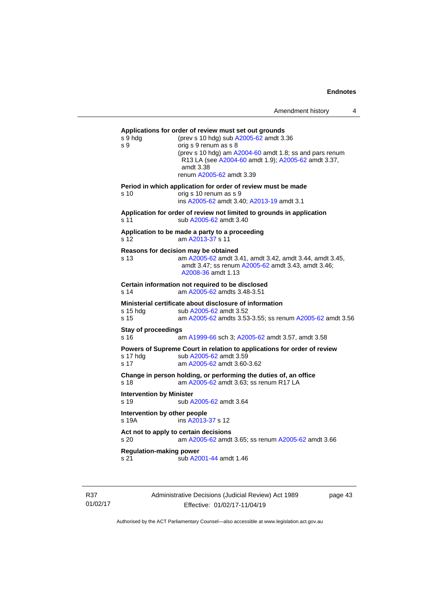| s 9 hdg<br>s 9                          | Applications for order of review must set out grounds<br>(prev s 10 hdg) sub A2005-62 amdt 3.36<br>orig s 9 renum as s 8<br>(prev s 10 hdg) am A2004-60 amdt 1.8; ss and pars renum<br>R13 LA (see A2004-60 amdt 1.9); A2005-62 amdt 3.37,<br>amdt 3.38<br>renum A2005-62 amdt 3.39 |
|-----------------------------------------|-------------------------------------------------------------------------------------------------------------------------------------------------------------------------------------------------------------------------------------------------------------------------------------|
| s 10                                    | Period in which application for order of review must be made<br>orig s 10 renum as s 9<br>ins A2005-62 amdt 3.40: A2013-19 amdt 3.1                                                                                                                                                 |
| s 11                                    | Application for order of review not limited to grounds in application<br>sub A2005-62 amdt 3.40                                                                                                                                                                                     |
| s 12.                                   | Application to be made a party to a proceeding<br>am A2013-37 s 11                                                                                                                                                                                                                  |
| s 13                                    | Reasons for decision may be obtained<br>am A2005-62 amdt 3.41, amdt 3.42, amdt 3.44, amdt 3.45,<br>amdt 3.47; ss renum A2005-62 amdt 3.43, amdt 3.46;<br>A2008-36 amdt 1.13                                                                                                         |
| s 14                                    | Certain information not required to be disclosed<br>am A2005-62 amdts 3.48-3.51                                                                                                                                                                                                     |
| s 15 hda<br>s 15                        | Ministerial certificate about disclosure of information<br>sub A2005-62 amdt 3.52<br>am A2005-62 amdts 3.53-3.55; ss renum A2005-62 amdt 3.56                                                                                                                                       |
| <b>Stay of proceedings</b><br>s 16      | am A1999-66 sch 3; A2005-62 amdt 3.57, amdt 3.58                                                                                                                                                                                                                                    |
| s 17 hda<br>s <sub>17</sub>             | Powers of Supreme Court in relation to applications for order of review<br>sub A2005-62 amdt 3.59<br>am A2005-62 amdt 3.60-3.62                                                                                                                                                     |
| s <sub>18</sub>                         | Change in person holding, or performing the duties of, an office<br>am A2005-62 amdt 3.63; ss renum R17 LA                                                                                                                                                                          |
| <b>Intervention by Minister</b><br>s 19 | sub A2005-62 amdt 3.64                                                                                                                                                                                                                                                              |
| Intervention by other people<br>s 19A   | ins A2013-37 s 12                                                                                                                                                                                                                                                                   |
| s 20                                    | Act not to apply to certain decisions<br>am A2005-62 amdt 3.65; ss renum A2005-62 amdt 3.66                                                                                                                                                                                         |
| <b>Regulation-making power</b>          | sub A2001-44 amdt 1.46                                                                                                                                                                                                                                                              |

R37 01/02/17 Administrative Decisions (Judicial Review) Act 1989 Effective: 01/02/17-11/04/19

page 43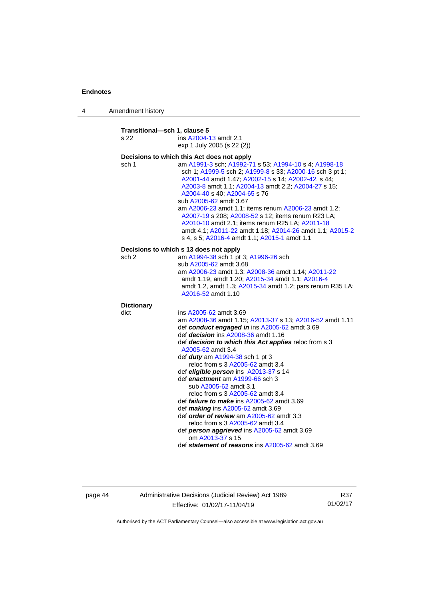4 Amendment history

**Transitional—sch 1, clause 5** s 22 ins [A2004-13](http://www.legislation.act.gov.au/a/2004-13) amdt 2.1 exp 1 July 2005 (s 22 (2)) **Decisions to which this Act does not apply** sch 1 am [A1991-3](http://www.legislation.act.gov.au/a/1991-3) sch[; A1992-71](http://www.legislation.act.gov.au/a/1992-71) s 53; [A1994-10](http://www.legislation.act.gov.au/a/1994-10) s 4[; A1998-18](http://www.legislation.act.gov.au/a/1998-18) sch 1[; A1999-5](http://www.legislation.act.gov.au/a/1999-5) sch 2[; A1999-8](http://www.legislation.act.gov.au/a/1999-8) s 33; [A2000-16](http://www.legislation.act.gov.au/a/2000-16) sch 3 pt 1; [A2001-44](http://www.legislation.act.gov.au/a/2001-44) amdt 1.47[; A2002-15](http://www.legislation.act.gov.au/a/2002-15) s 14; [A2002-42,](http://www.legislation.act.gov.au/a/2002-42) s 44; [A2003-8](http://www.legislation.act.gov.au/a/2003-8) amdt 1.1[; A2004-13](http://www.legislation.act.gov.au/a/2004-13) amdt 2.2; [A2004-27](http://www.legislation.act.gov.au/a/2004-27) s 15; [A2004-40](http://www.legislation.act.gov.au/a/2004-40) s 40[; A2004-65](http://www.legislation.act.gov.au/a/2004-65) s 76 sub [A2005-62](http://www.legislation.act.gov.au/a/2005-62) amdt 3.67 am [A2006-23](http://www.legislation.act.gov.au/a/2006-23) amdt 1.1; items renu[m A2006-23](http://www.legislation.act.gov.au/a/2006-23) amdt 1.2; [A2007-19](http://www.legislation.act.gov.au/a/2007-19) s 208[; A2008-52](http://www.legislation.act.gov.au/a/2008-52) s 12; items renum R23 LA; [A2010-10](http://www.legislation.act.gov.au/a/2010-10) amdt 2.1; items renum R25 LA[; A2011-18](http://www.legislation.act.gov.au/a/2011-18) amdt 4.1; [A2011-22](http://www.legislation.act.gov.au/a/2011-22) amdt 1.18[; A2014-26](http://www.legislation.act.gov.au/a/2014-26) amdt 1.1; [A2015-2](http://www.legislation.act.gov.au/a/2015-2) s 4, s 5; [A2016-4](http://www.legislation.act.gov.au/a/2016-4/default.asp) amdt 1.1[; A2015-1](http://www.legislation.act.gov.au/a/2015-1) amdt 1.1 **Decisions to which s 13 does not apply** sch 2 am [A1994-38](http://www.legislation.act.gov.au/a/1994-38) sch 1 pt 3[; A1996-26](http://www.legislation.act.gov.au/a/1996-26) sch sub [A2005-62](http://www.legislation.act.gov.au/a/2005-62) amdt 3.68 am [A2006-23](http://www.legislation.act.gov.au/a/2006-23) amdt 1.3[; A2008-36](http://www.legislation.act.gov.au/a/2008-36) amdt 1.14; [A2011-22](http://www.legislation.act.gov.au/a/2011-22) amdt 1.19, amdt 1.20; [A2015-34](http://www.legislation.act.gov.au/a/2015-34) amdt 1.1; [A2016-4](http://www.legislation.act.gov.au/a/2016-4/default.asp) amdt 1.2, amdt 1.3; [A2015-34](http://www.legislation.act.gov.au/a/2015-34) amdt 1.2; pars renum R35 LA; [A2016-52](http://www.legislation.act.gov.au/a/2016-52/default.asp) amdt 1.10 **Dictionary** dict ins [A2005-62](http://www.legislation.act.gov.au/a/2005-62) amdt 3.69 am [A2008-36](http://www.legislation.act.gov.au/a/2008-36) amdt 1.15[; A2013-37](http://www.legislation.act.gov.au/a/2013-37) s 13; [A2016-52](http://www.legislation.act.gov.au/a/2016-52/default.asp) amdt 1.11 def *conduct engaged in* in[s A2005-62](http://www.legislation.act.gov.au/a/2005-62) amdt 3.69 def *decision* ins [A2008-36](http://www.legislation.act.gov.au/a/2008-36) amdt 1.16 def *decision to which this Act applies* reloc from s 3 [A2005-62](http://www.legislation.act.gov.au/a/2005-62) amdt 3.4 def *duty* a[m A1994-38](http://www.legislation.act.gov.au/a/1994-38) sch 1 pt 3 reloc from s 3 [A2005-62](http://www.legislation.act.gov.au/a/2005-62) amdt 3.4 def *eligible person* ins [A2013-37](http://www.legislation.act.gov.au/a/2013-37) s 14 def *enactment* a[m A1999-66](http://www.legislation.act.gov.au/a/1999-66) sch 3 sub [A2005-62](http://www.legislation.act.gov.au/a/2005-62) amdt 3.1 reloc from s 3 [A2005-62](http://www.legislation.act.gov.au/a/2005-62) amdt 3.4 def *failure to make* ins [A2005-62](http://www.legislation.act.gov.au/a/2005-62) amdt 3.69 def *making* ins [A2005-62](http://www.legislation.act.gov.au/a/2005-62) amdt 3.69 def *order of review* am [A2005-62](http://www.legislation.act.gov.au/a/2005-62) amdt 3.3 reloc from s 3 [A2005-62](http://www.legislation.act.gov.au/a/2005-62) amdt 3.4 def *person aggrieved* in[s A2005-62](http://www.legislation.act.gov.au/a/2005-62) amdt 3.69 om [A2013-37](http://www.legislation.act.gov.au/a/2013-37) s 15 def *statement of reasons* ins [A2005-62](http://www.legislation.act.gov.au/a/2005-62) amdt 3.69

page 44 Administrative Decisions (Judicial Review) Act 1989 Effective: 01/02/17-11/04/19

R37 01/02/17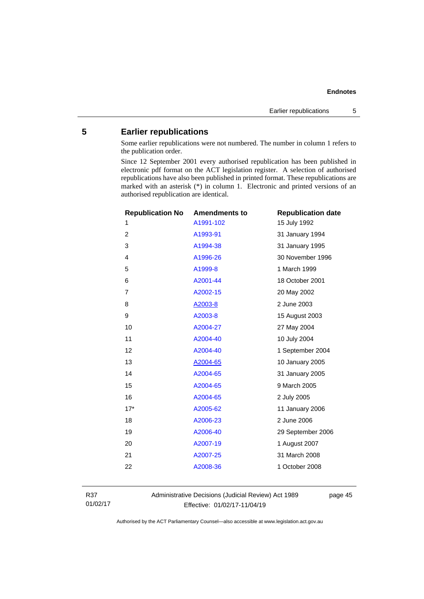## <span id="page-48-0"></span>**5 Earlier republications**

Some earlier republications were not numbered. The number in column 1 refers to the publication order.

Since 12 September 2001 every authorised republication has been published in electronic pdf format on the ACT legislation register. A selection of authorised republications have also been published in printed format. These republications are marked with an asterisk (\*) in column 1. Electronic and printed versions of an authorised republication are identical.

| <b>Republication No</b> | <b>Amendments to</b> | <b>Republication date</b> |
|-------------------------|----------------------|---------------------------|
| 1                       | A1991-102            | 15 July 1992              |
| $\overline{2}$          | A1993-91             | 31 January 1994           |
| 3                       | A1994-38             | 31 January 1995           |
| 4                       | A1996-26             | 30 November 1996          |
| 5                       | A1999-8              | 1 March 1999              |
| 6                       | A2001-44             | 18 October 2001           |
| $\overline{7}$          | A2002-15             | 20 May 2002               |
| 8                       | A2003-8              | 2 June 2003               |
| 9                       | A2003-8              | 15 August 2003            |
| 10                      | A2004-27             | 27 May 2004               |
| 11                      | A2004-40             | 10 July 2004              |
| 12                      | A2004-40             | 1 September 2004          |
| 13                      | A2004-65             | 10 January 2005           |
| 14                      | A2004-65             | 31 January 2005           |
| 15                      | A2004-65             | 9 March 2005              |
| 16                      | A2004-65             | 2 July 2005               |
| $17*$                   | A2005-62             | 11 January 2006           |
| 18                      | A2006-23             | 2 June 2006               |
| 19                      | A2006-40             | 29 September 2006         |
| 20                      | A2007-19             | 1 August 2007             |
| 21                      | A2007-25             | 31 March 2008             |
| 22                      | A2008-36             | 1 October 2008            |
|                         |                      |                           |

R37 01/02/17 Administrative Decisions (Judicial Review) Act 1989 Effective: 01/02/17-11/04/19

page 45